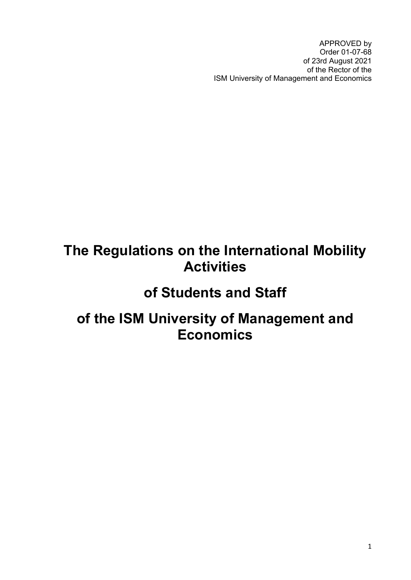APPROVED by Order 01-07-68 of 23rd August 2021 of the Rector of the ISM University of Management and Economics

### **The Regulations on the International Mobility Activities**

### **of Students and Staff**

### **of the ISM University of Management and Economics**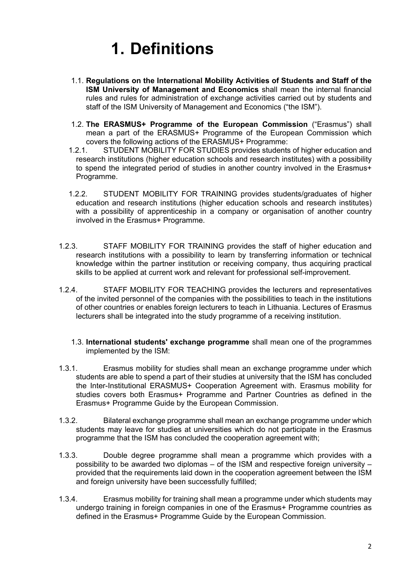# **1. Definitions**

- 1.1. **Regulations on the International Mobility Activities of Students and Staff of the ISM University of Management and Economics** shall mean the internal financial rules and rules for administration of exchange activities carried out by students and staff of the ISM University of Management and Economics ("the ISM").
- 1.2. **The ERASMUS+ Programme of the European Commission** ("Erasmus") shall mean a part of the ERASMUS+ Programme of the European Commission which covers the following actions of the ERASMUS+ Programme:<br>1.2.1. STUDENT MOBILITY FOR STUDIES provides students
- STUDENT MOBILITY FOR STUDIES provides students of higher education and research institutions (higher education schools and research institutes) with a possibility to spend the integrated period of studies in another country involved in the Erasmus+ Programme.
- 1.2.2. STUDENT MOBILITY FOR TRAINING provides students/graduates of higher education and research institutions (higher education schools and research institutes) with a possibility of apprenticeship in a company or organisation of another country involved in the Erasmus+ Programme.
- 1.2.3. STAFF MOBILITY FOR TRAINING provides the staff of higher education and research institutions with a possibility to learn by transferring information or technical knowledge within the partner institution or receiving company, thus acquiring practical skills to be applied at current work and relevant for professional self-improvement.
- 1.2.4. STAFF MOBILITY FOR TEACHING provides the lecturers and representatives of the invited personnel of the companies with the possibilities to teach in the institutions of other countries or enables foreign lecturers to teach in Lithuania. Lectures of Erasmus lecturers shall be integrated into the study programme of a receiving institution.
	- 1.3. **International students' exchange programme** shall mean one of the programmes implemented by the ISM:
- 1.3.1. Erasmus mobility for studies shall mean an exchange programme under which students are able to spend a part of their studies at university that the ISM has concluded the Inter-Institutional ERASMUS+ Cooperation Agreement with. Erasmus mobility for studies covers both Erasmus+ Programme and Partner Countries as defined in the Erasmus+ Programme Guide by the European Commission.
- 1.3.2. Bilateral exchange programme shall mean an exchange programme under which students may leave for studies at universities which do not participate in the Erasmus programme that the ISM has concluded the cooperation agreement with;
- 1.3.3. Double degree programme shall mean a programme which provides with a possibility to be awarded two diplomas – of the ISM and respective foreign university – provided that the requirements laid down in the cooperation agreement between the ISM and foreign university have been successfully fulfilled;
- 1.3.4. Erasmus mobility for training shall mean a programme under which students may undergo training in foreign companies in one of the Erasmus+ Programme countries as defined in the Erasmus+ Programme Guide by the European Commission.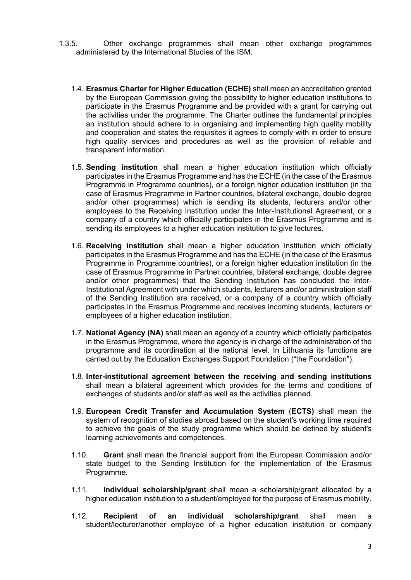- 1.3.5. Other exchange programmes shall mean other exchange programmes administered by the International Studies of the ISM.
	- 1.4. **Erasmus Charter for Higher Education (ECHE)** shall mean an accreditation granted by the European Commission giving the possibility to higher education institutions to participate in the Erasmus Programme and be provided with a grant for carrying out the activities under the programme. The Charter outlines the fundamental principles an institution should adhere to in organising and implementing high quality mobility and cooperation and states the requisites it agrees to comply with in order to ensure high quality services and procedures as well as the provision of reliable and transparent information.
	- 1.5. **Sending institution** shall mean a higher education institution which officially participates in the Erasmus Programme and has the ECHE (in the case of the Erasmus Programme in Programme countries), or a foreign higher education institution (in the case of Erasmus Programme in Partner countries, bilateral exchange, double degree and/or other programmes) which is sending its students, lecturers and/or other employees to the Receiving Institution under the Inter-Institutional Agreement, or a company of a country which officially participates in the Erasmus Programme and is sending its employees to a higher education institution to give lectures.
	- 1.6. **Receiving institution** shall mean a higher education institution which officially participates in the Erasmus Programme and has the ECHE (in the case of the Erasmus Programme in Programme countries), or a foreign higher education institution (in the case of Erasmus Programme in Partner countries, bilateral exchange, double degree and/or other programmes) that the Sending Institution has concluded the Inter-Institutional Agreement with under which students, lecturers and/or administration staff of the Sending Institution are received, or a company of a country which officially participates in the Erasmus Programme and receives incoming students, lecturers or employees of a higher education institution.
	- 1.7. **National Agency (NA)** shall mean an agency of a country which officially participates in the Erasmus Programme, where the agency is in charge of the administration of the programme and its coordination at the national level. In Lithuania its functions are carried out by the Education Exchanges Support Foundation ("the Foundation").
	- 1.8. **Inter-institutional agreement between the receiving and sending institutions** shall mean a bilateral agreement which provides for the terms and conditions of exchanges of students and/or staff as well as the activities planned.
	- 1.9. **European Credit Transfer and Accumulation System** (**ECTS)** shall mean the system of recognition of studies abroad based on the student's working time required to achieve the goals of the study programme which should be defined by student's learning achievements and competences.
	- 1.10. **Grant** shall mean the financial support from the European Commission and/or state budget to the Sending Institution for the implementation of the Erasmus Programme.
	- 1.11. **Individual scholarship/grant** shall mean a scholarship/grant allocated by a higher education institution to a student/employee for the purpose of Erasmus mobility.
	- 1.12. **Recipient of an individual scholarship/grant** shall mean a student/lecturer/another employee of a higher education institution or company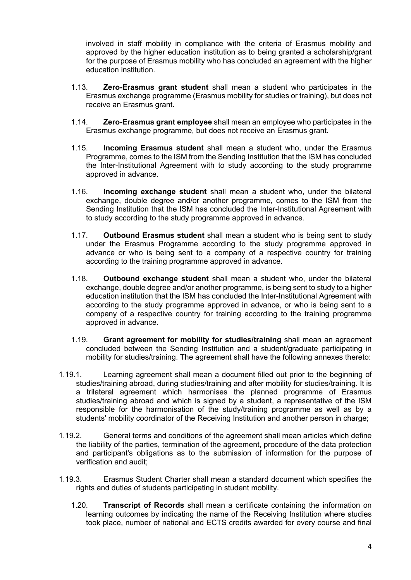involved in staff mobility in compliance with the criteria of Erasmus mobility and approved by the higher education institution as to being granted a scholarship/grant for the purpose of Erasmus mobility who has concluded an agreement with the higher education institution.

- 1.13. **Zero-Erasmus grant student** shall mean a student who participates in the Erasmus exchange programme (Erasmus mobility for studies or training), but does not receive an Erasmus grant.
- 1.14. **Zero-Erasmus grant employee** shall mean an employee who participates in the Erasmus exchange programme, but does not receive an Erasmus grant.
- 1.15. **Incoming Erasmus student** shall mean a student who, under the Erasmus Programme, comes to the ISM from the Sending Institution that the ISM has concluded the Inter-Institutional Agreement with to study according to the study programme approved in advance.
- 1.16. **Incoming exchange student** shall mean a student who, under the bilateral exchange, double degree and/or another programme, comes to the ISM from the Sending Institution that the ISM has concluded the Inter-Institutional Agreement with to study according to the study programme approved in advance.
- 1.17. **Outbound Erasmus student** shall mean a student who is being sent to study under the Erasmus Programme according to the study programme approved in advance or who is being sent to a company of a respective country for training according to the training programme approved in advance.
- 1.18. **Outbound exchange student** shall mean a student who, under the bilateral exchange, double degree and/or another programme, is being sent to study to a higher education institution that the ISM has concluded the Inter-Institutional Agreement with according to the study programme approved in advance, or who is being sent to a company of a respective country for training according to the training programme approved in advance.
- 1.19. **Grant agreement for mobility for studies/training** shall mean an agreement concluded between the Sending Institution and a student/graduate participating in mobility for studies/training. The agreement shall have the following annexes thereto:
- 1.19.1. Learning agreement shall mean a document filled out prior to the beginning of studies/training abroad, during studies/training and after mobility for studies/training. It is a trilateral agreement which harmonises the planned programme of Erasmus studies/training abroad and which is signed by a student, a representative of the ISM responsible for the harmonisation of the study/training programme as well as by a students' mobility coordinator of the Receiving Institution and another person in charge;
- 1.19.2. General terms and conditions of the agreement shall mean articles which define the liability of the parties, termination of the agreement, procedure of the data protection and participant's obligations as to the submission of information for the purpose of verification and audit;
- 1.19.3. Erasmus Student Charter shall mean a standard document which specifies the rights and duties of students participating in student mobility.
	- 1.20. **Transcript of Records** shall mean a certificate containing the information on learning outcomes by indicating the name of the Receiving Institution where studies took place, number of national and ECTS credits awarded for every course and final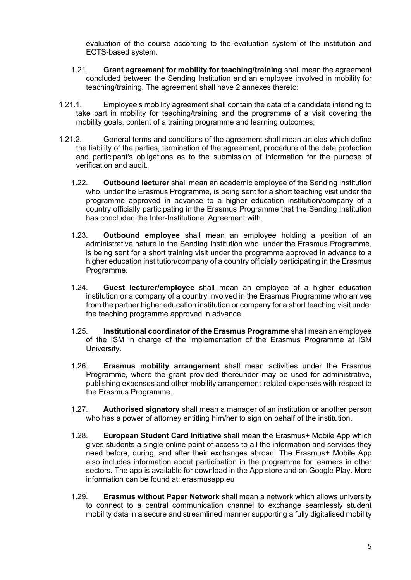evaluation of the course according to the evaluation system of the institution and ECTS-based system.

- 1.21. **Grant agreement for mobility for teaching/training** shall mean the agreement concluded between the Sending Institution and an employee involved in mobility for teaching/training. The agreement shall have 2 annexes thereto:
- 1.21.1. Employee's mobility agreement shall contain the data of a candidate intending to take part in mobility for teaching/training and the programme of a visit covering the mobility goals, content of a training programme and learning outcomes;
- 1.21.2. General terms and conditions of the agreement shall mean articles which define the liability of the parties, termination of the agreement, procedure of the data protection and participant's obligations as to the submission of information for the purpose of verification and audit.
	- 1.22. **Outbound lecturer** shall mean an academic employee of the Sending Institution who, under the Erasmus Programme, is being sent for a short teaching visit under the programme approved in advance to a higher education institution/company of a country officially participating in the Erasmus Programme that the Sending Institution has concluded the Inter-Institutional Agreement with.
	- 1.23. **Outbound employee** shall mean an employee holding a position of an administrative nature in the Sending Institution who, under the Erasmus Programme, is being sent for a short training visit under the programme approved in advance to a higher education institution/company of a country officially participating in the Erasmus Programme.
	- 1.24. **Guest lecturer/employee** shall mean an employee of a higher education institution or a company of a country involved in the Erasmus Programme who arrives from the partner higher education institution or company for a short teaching visit under the teaching programme approved in advance.
	- 1.25. **Institutional coordinator of the Erasmus Programme** shall mean an employee of the ISM in charge of the implementation of the Erasmus Programme at ISM University.
	- 1.26. **Erasmus mobility arrangement** shall mean activities under the Erasmus Programme, where the grant provided thereunder may be used for administrative, publishing expenses and other mobility arrangement-related expenses with respect to the Erasmus Programme.
	- 1.27. **Authorised signatory** shall mean a manager of an institution or another person who has a power of attorney entitling him/her to sign on behalf of the institution.
	- 1.28. **European Student Card Initiative** shall mean the Erasmus+ Mobile App which gives students a single online point of access to all the information and services they need before, during, and after their exchanges abroad. The Erasmus+ Mobile App also includes information about participation in the programme for learners in other sectors. The app is available for download in the App store and on Google Play. More information can be found at: erasmusapp.eu
	- 1.29. **Erasmus without Paper Network** shall mean a network which allows university to connect to a central communication channel to exchange seamlessly student mobility data in a secure and streamlined manner supporting a fully digitalised mobility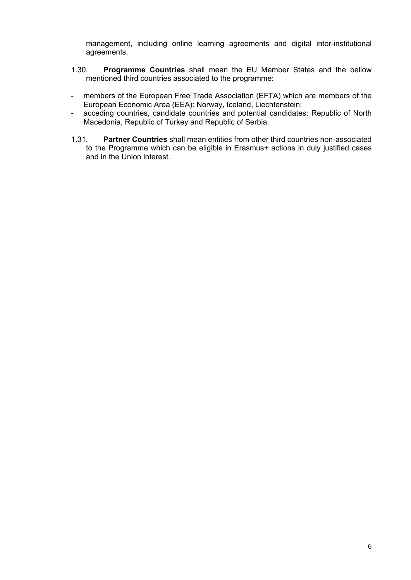management, including online learning agreements and digital inter-institutional agreements.

- 1.30. **Programme Countries** shall mean the EU Member States and the bellow mentioned third countries associated to the programme:
- members of the European Free Trade Association (EFTA) which are members of the European Economic Area (EEA): Norway, Iceland, Liechtenstein;
- acceding countries, candidate countries and potential candidates: Republic of North Macedonia, Republic of Turkey and Republic of Serbia.
- 1.31. **Partner Countries** shall mean entities from other third countries non-associated to the Programme which can be eligible in Erasmus+ actions in duly justified cases and in the Union interest.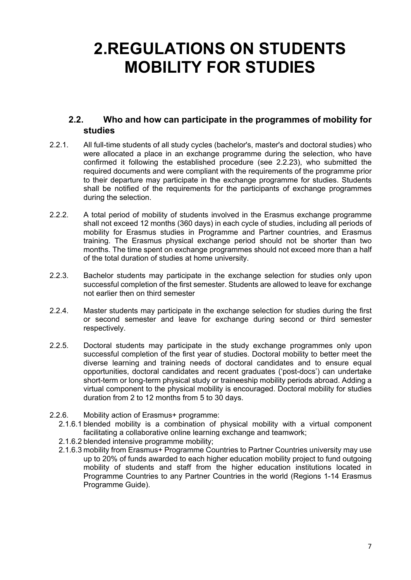### **2.REGULATIONS ON STUDENTS MOBILITY FOR STUDIES**

#### <span id="page-6-0"></span>**2.2. Who and how can participate in the programmes of mobility for studies**

- 2.2.1. All full-time students of all study cycles (bachelor's, master's and doctoral studies) who were allocated a place in an exchange programme during the selection, who have confirmed it following the established procedure (see [2.2.23](#page-9-0)), who submitted the required documents and were compliant with the requirements of the programme prior to their departure may participate in the exchange programme for studies. Students shall be notified of the requirements for the participants of exchange programmes during the selection.
- 2.2.2. A total period of mobility of students involved in the Erasmus exchange programme shall not exceed 12 months (360 days) in each cycle of studies, including all periods of mobility for Erasmus studies in Programme and Partner countries, and Erasmus training. The Erasmus physical exchange period should not be shorter than two months. The time spent on exchange programmes should not exceed more than a half of the total duration of studies at home university.
- 2.2.3. Bachelor students may participate in the exchange selection for studies only upon successful completion of the first semester. Students are allowed to leave for exchange not earlier then on third semester
- 2.2.4. Master students may participate in the exchange selection for studies during the first or second semester and leave for exchange during second or third semester respectively.
- 2.2.5. Doctoral students may participate in the study exchange programmes only upon successful completion of the first year of studies. Doctoral mobility to better meet the diverse learning and training needs of doctoral candidates and to ensure equal opportunities, doctoral candidates and recent graduates ('post-docs') can undertake short-term or long-term physical study or traineeship mobility periods abroad. Adding a virtual component to the physical mobility is encouraged. Doctoral mobility for studies duration from 2 to 12 months from 5 to 30 days.
- 2.2.6. Mobility action of Erasmus+ programme:
	- 2.1.6.1 blended mobility is a combination of physical mobility with a virtual component facilitating a collaborative online learning exchange and teamwork;
	- 2.1.6.2 blended intensive programme mobility;
	- 2.1.6.3 mobility from Erasmus+ Programme Countries to Partner Countries university may use up to 20% of funds awarded to each higher education mobility project to fund outgoing mobility of students and staff from the higher education institutions located in Programme Countries to any Partner Countries in the world (Regions 1-14 Erasmus Programme Guide).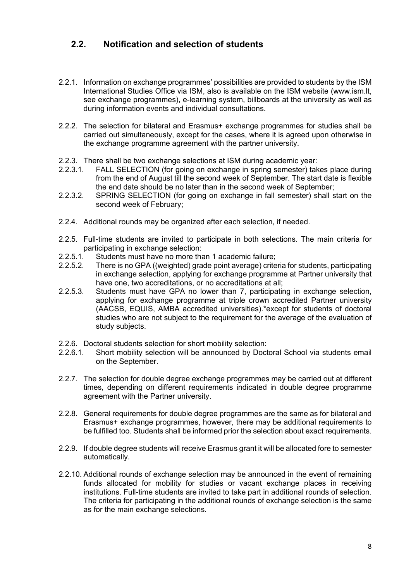#### **2.2. Notification and selection of students**

- 2.2.1. Information on exchange programmes' possibilities are provided to students by the ISM International Studies Office via ISM, also is available on the ISM website ([www.ism.lt,](http://www.ism.lt/) see exchange programmes), e-learning system, billboards at the university as well as during information events and individual consultations.
- 2.2.2. The selection for bilateral and Erasmus+ exchange programmes for studies shall be carried out simultaneously, except for the cases, where it is agreed upon otherwise in the exchange programme agreement with the partner university.
- 2.2.3. There shall be two exchange selections at ISM during academic year:
- 2.2.3.1. FALL SELECTION (for going on exchange in spring semester) takes place during from the end of August till the second week of September. The start date is flexible the end date should be no later than in the second week of September;
- 2.2.3.2. SPRING SELECTION (for going on exchange in fall semester) shall start on the second week of February;
- <span id="page-7-0"></span>2.2.4. Additional rounds may be organized after each selection, if needed.
- 2.2.5. Full-time students are invited to participate in both selections. The main criteria for participating in exchange selection:
- 2.2.5.1. Students must have no more than 1 academic failure;
- 2.2.5.2. There is no GPA ((weighted) grade point average) criteria for students, participating in exchange selection, applying for exchange programme at Partner university that have one, two accreditations, or no accreditations at all;
- 2.2.5.3. Students must have GPA no lower than 7, participating in exchange selection, applying for exchange programme at triple crown accredited Partner university (AACSB, EQUIS, AMBA accredited universities).\*except for students of doctoral studies who are not subject to the requirement for the average of the evaluation of study subjects.
- 2.2.6. Doctoral students selection for short mobility selection:
- 2.2.6.1. Short mobility selection will be announced by Doctoral School via students email on the September.
- 2.2.7. The selection for double degree exchange programmes may be carried out at different times, depending on different requirements indicated in double degree programme agreement with the Partner university.
- 2.2.8. General requirements for double degree programmes are the same as for bilateral and Erasmus+ exchange programmes, however, there may be additional requirements to be fulfilled too. Students shall be informed prior the selection about exact requirements.
- 2.2.9. If double degree students will receive Erasmus grant it will be allocated fore to semester automatically.
- <span id="page-7-1"></span>2.2.10. Additional rounds of exchange selection may be announced in the event of remaining funds allocated for mobility for studies or vacant exchange places in receiving institutions. Full-time students are invited to take part in additional rounds of selection. The criteria for participating in the additional rounds of exchange selection is the same as for the main exchange selections.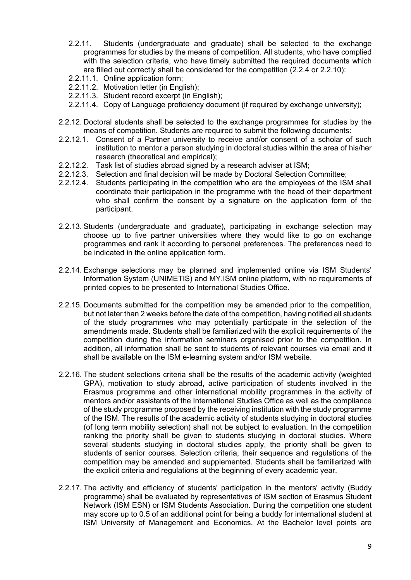- 2.2.11. Students (undergraduate and graduate) shall be selected to the exchange programmes for studies by the means of competition. All students, who have complied with the selection criteria, who have timely submitted the required documents which are filled out correctly shall be considered for the competition ([2.2.4](#page-7-0) or [2.2.10\)](#page-7-1):
- 2.2.11.1. Online application form;
- 2.2.11.2. Motivation letter (in English);
- 2.2.11.3. Student record excerpt (in English);
- 2.2.11.4. Copy of Language proficiency document (if required by exchange university);
- 2.2.12. Doctoral students shall be selected to the exchange programmes for studies by the means of competition. Students are required to submit the following documents:
- 2.2.12.1. Consent of a Partner university to receive and/or consent of a scholar of such institution to mentor a person studying in doctoral studies within the area of his/her research (theoretical and empirical);
- 2.2.12.2. Task list of studies abroad signed by a research adviser at ISM;
- 2.2.12.3. Selection and final decision will be made by Doctoral Selection Committee;
- 2.2.12.4. Students participating in the competition who are the employees of the ISM shall coordinate their participation in the programme with the head of their department who shall confirm the consent by a signature on the application form of the participant.
- 2.2.13. Students (undergraduate and graduate), participating in exchange selection may choose up to five partner universities where they would like to go on exchange programmes and rank it according to personal preferences. The preferences need to be indicated in the online application form.
- 2.2.14. Exchange selections may be planned and implemented online via ISM Students' Information System (UNIMETIS) and MY.ISM online platform, with no requirements of printed copies to be presented to International Studies Office.
- 2.2.15. Documents submitted for the competition may be amended prior to the competition, but not later than 2 weeks before the date of the competition, having notified all students of the study programmes who may potentially participate in the selection of the amendments made. Students shall be familiarized with the explicit requirements of the competition during the information seminars organised prior to the competition. In addition, all information shall be sent to students of relevant courses via email and it shall be available on the ISM e-learning system and/or ISM website.
- 2.2.16. The student selections criteria shall be the results of the academic activity (weighted GPA), motivation to study abroad, active participation of students involved in the Erasmus programme and other international mobility programmes in the activity of mentors and/or assistants of the International Studies Office as well as the compliance of the study programme proposed by the receiving institution with the study programme of the ISM. The results of the academic activity of students studying in doctoral studies (of long term mobility selection) shall not be subject to evaluation. In the competition ranking the priority shall be given to students studying in doctoral studies. Where several students studying in doctoral studies apply, the priority shall be given to students of senior courses. Selection criteria, their sequence and regulations of the competition may be amended and supplemented. Students shall be familiarized with the explicit criteria and regulations at the beginning of every academic year.
- 2.2.17. The activity and efficiency of students' participation in the mentors' activity (Buddy programme) shall be evaluated by representatives of ISM section of Erasmus Student Network (ISM ESN) or ISM Students Association. During the competition one student may score up to 0.5 of an additional point for being a buddy for international student at ISM University of Management and Economics. At the Bachelor level points are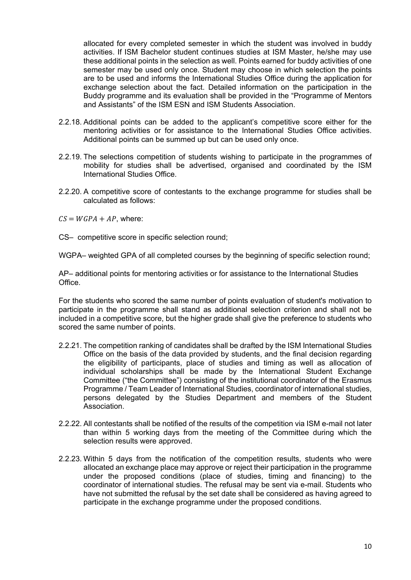allocated for every completed semester in which the student was involved in buddy activities. If ISM Bachelor student continues studies at ISM Master, he/she may use these additional points in the selection as well. Points earned for buddy activities of one semester may be used only once. Student may choose in which selection the points are to be used and informs the International Studies Office during the application for exchange selection about the fact. Detailed information on the participation in the Buddy programme and its evaluation shall be provided in the "Programme of Mentors and Assistants" of the ISM ESN and ISM Students Association.

- 2.2.18. Additional points can be added to the applicant's competitive score either for the mentoring activities or for assistance to the International Studies Office activities. Additional points can be summed up but can be used only once.
- 2.2.19. The selections competition of students wishing to participate in the programmes of mobility for studies shall be advertised, organised and coordinated by the ISM International Studies Office.
- 2.2.20. A competitive score of contestants to the exchange programme for studies shall be calculated as follows:

 $CS = WGPA + AP$ , where:

CS– competitive score in specific selection round;

WGPA– weighted GPA of all completed courses by the beginning of specific selection round;

AP– additional points for mentoring activities or for assistance to the International Studies Office.

For the students who scored the same number of points evaluation of student's motivation to participate in the programme shall stand as additional selection criterion and shall not be included in a competitive score, but the higher grade shall give the preference to students who scored the same number of points.

- 2.2.21. The competition ranking of candidates shall be drafted by the ISM International Studies Office on the basis of the data provided by students, and the final decision regarding the eligibility of participants, place of studies and timing as well as allocation of individual scholarships shall be made by the International Student Exchange Committee ("the Committee") consisting of the institutional coordinator of the Erasmus Programme / Team Leader of International Studies, coordinator of international studies, persons delegated by the Studies Department and members of the Student **Association**
- 2.2.22. All contestants shall be notified of the results of the competition via ISM e-mail not later than within 5 working days from the meeting of the Committee during which the selection results were approved.
- <span id="page-9-0"></span>2.2.23. Within 5 days from the notification of the competition results, students who were allocated an exchange place may approve or reject their participation in the programme under the proposed conditions (place of studies, timing and financing) to the coordinator of international studies. The refusal may be sent via e-mail. Students who have not submitted the refusal by the set date shall be considered as having agreed to participate in the exchange programme under the proposed conditions.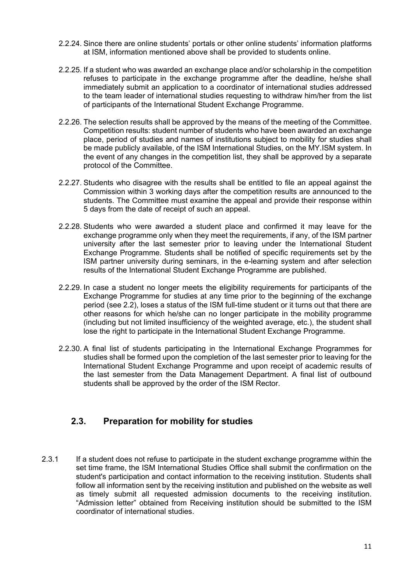- 2.2.24. Since there are online students' portals or other online students' information platforms at ISM, information mentioned above shall be provided to students online.
- 2.2.25. If a student who was awarded an exchange place and/or scholarship in the competition refuses to participate in the exchange programme after the deadline, he/she shall immediately submit an application to a coordinator of international studies addressed to the team leader of international studies requesting to withdraw him/her from the list of participants of the International Student Exchange Programme.
- 2.2.26. The selection results shall be approved by the means of the meeting of the Committee. Competition results: student number of students who have been awarded an exchange place, period of studies and names of institutions subject to mobility for studies shall be made publicly available, of the ISM International Studies, on the MY.ISM system. In the event of any changes in the competition list, they shall be approved by a separate protocol of the Committee.
- 2.2.27. Students who disagree with the results shall be entitled to file an appeal against the Commission within 3 working days after the competition results are announced to the students. The Committee must examine the appeal and provide their response within 5 days from the date of receipt of such an appeal.
- 2.2.28. Students who were awarded a student place and confirmed it may leave for the exchange programme only when they meet the requirements, if any, of the ISM partner university after the last semester prior to leaving under the International Student Exchange Programme. Students shall be notified of specific requirements set by the ISM partner university during seminars, in the e-learning system and after selection results of the International Student Exchange Programme are published.
- 2.2.29. In case a student no longer meets the eligibility requirements for participants of the Exchange Programme for studies at any time prior to the beginning of the exchange period (see [2.2](#page-6-0)), loses a status of the ISM full-time student or it turns out that there are other reasons for which he/she can no longer participate in the mobility programme (including but not limited insufficiency of the weighted average, etc.), the student shall lose the right to participate in the International Student Exchange Programme.
- 2.2.30. A final list of students participating in the International Exchange Programmes for studies shall be formed upon the completion of the last semester prior to leaving for the International Student Exchange Programme and upon receipt of academic results of the last semester from the Data Management Department. A final list of outbound students shall be approved by the order of the ISM Rector.

#### **2.3. Preparation for mobility for studies**

2.3.1 If a student does not refuse to participate in the student exchange programme within the set time frame, the ISM International Studies Office shall submit the confirmation on the student's participation and contact information to the receiving institution. Students shall follow all information sent by the receiving institution and published on the website as well as timely submit all requested admission documents to the receiving institution. "Admission letter" obtained from Receiving institution should be submitted to the ISM coordinator of international studies.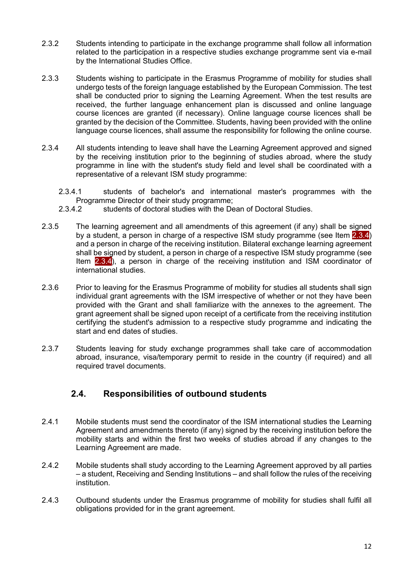- 2.3.2 Students intending to participate in the exchange programme shall follow all information related to the participation in a respective studies exchange programme sent via e-mail by the International Studies Office.
- 2.3.3 Students wishing to participate in the Erasmus Programme of mobility for studies shall undergo tests of the foreign language established by the European Commission. The test shall be conducted prior to signing the Learning Agreement. When the test results are received, the further language enhancement plan is discussed and online language course licences are granted (if necessary). Online language course licences shall be granted by the decision of the Committee. Students, having been provided with the online language course licences, shall assume the responsibility for following the online course.
- <span id="page-11-0"></span>2.3.4 All students intending to leave shall have the Learning Agreement approved and signed by the receiving institution prior to the beginning of studies abroad, where the study programme in line with the student's study field and level shall be coordinated with a representative of a relevant ISM study programme:
	- 2.3.4.1 students of bachelor's and international master's programmes with the Programme Director of their study programme;
	- 2.3.4.2 students of doctoral studies with the Dean of Doctoral Studies.
- 2.3.5 The learning agreement and all amendments of this agreement (if any) shall be signed by a student, a person in charge of a respective ISM study programme (see Item [2.3.4\)](#page-11-0) and a person in charge of the receiving institution. Bilateral exchange learning agreement shall be signed by student, a person in charge of a respective ISM study programme (see Item [2.3.4](#page-11-0)), a person in charge of the receiving institution and ISM coordinator of international studies.
- 2.3.6 Prior to leaving for the Erasmus Programme of mobility for studies all students shall sign individual grant agreements with the ISM irrespective of whether or not they have been provided with the Grant and shall familiarize with the annexes to the agreement. The grant agreement shall be signed upon receipt of a certificate from the receiving institution certifying the student's admission to a respective study programme and indicating the start and end dates of studies.
- 2.3.7 Students leaving for study exchange programmes shall take care of accommodation abroad, insurance, visa/temporary permit to reside in the country (if required) and all required travel documents.

#### **2.4. Responsibilities of outbound students**

- 2.4.1 Mobile students must send the coordinator of the ISM international studies the Learning Agreement and amendments thereto (if any) signed by the receiving institution before the mobility starts and within the first two weeks of studies abroad if any changes to the Learning Agreement are made.
- 2.4.2 Mobile students shall study according to the Learning Agreement approved by all parties – a student, Receiving and Sending Institutions – and shall follow the rules of the receiving institution.
- 2.4.3 Outbound students under the Erasmus programme of mobility for studies shall fulfil all obligations provided for in the grant agreement.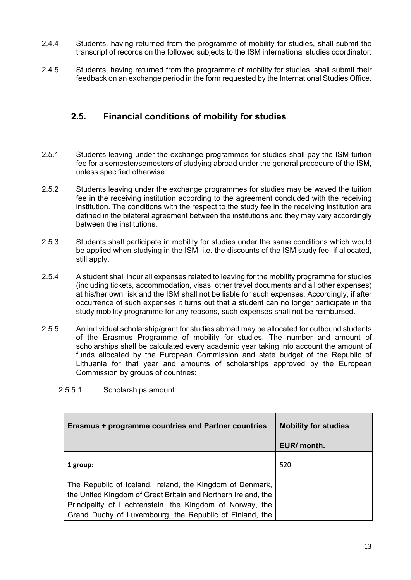- 2.4.4 Students, having returned from the programme of mobility for studies, shall submit the transcript of records on the followed subjects to the ISM international studies coordinator.
- 2.4.5 Students, having returned from the programme of mobility for studies, shall submit their feedback on an exchange period in the form requested by the International Studies Office.

#### **2.5. Financial conditions of mobility for studies**

- 2.5.1 Students leaving under the exchange programmes for studies shall pay the ISM tuition fee for a semester/semesters of studying abroad under the general procedure of the ISM, unless specified otherwise.
- 2.5.2 Students leaving under the exchange programmes for studies may be waved the tuition fee in the receiving institution according to the agreement concluded with the receiving institution. The conditions with the respect to the study fee in the receiving institution are defined in the bilateral agreement between the institutions and they may vary accordingly between the institutions.
- 2.5.3 Students shall participate in mobility for studies under the same conditions which would be applied when studying in the ISM, i.e. the discounts of the ISM study fee, if allocated, still apply.
- 2.5.4 A student shall incur all expenses related to leaving for the mobility programme for studies (including tickets, accommodation, visas, other travel documents and all other expenses) at his/her own risk and the ISM shall not be liable for such expenses. Accordingly, if after occurrence of such expenses it turns out that a student can no longer participate in the study mobility programme for any reasons, such expenses shall not be reimbursed.
- <span id="page-12-0"></span>2.5.5 An individual scholarship/grant for studies abroad may be allocated for outbound students of the Erasmus Programme of mobility for studies. The number and amount of scholarships shall be calculated every academic year taking into account the amount of funds allocated by the European Commission and state budget of the Republic of Lithuania for that year and amounts of scholarships approved by the European Commission by groups of countries:

| <b>Erasmus + programme countries and Partner countries</b>                                                                                                                                                                                         | <b>Mobility for studies</b> |
|----------------------------------------------------------------------------------------------------------------------------------------------------------------------------------------------------------------------------------------------------|-----------------------------|
|                                                                                                                                                                                                                                                    | EUR/ month.                 |
| 1 group:                                                                                                                                                                                                                                           | 520                         |
| The Republic of Iceland, Ireland, the Kingdom of Denmark,<br>the United Kingdom of Great Britain and Northern Ireland, the<br>Principality of Liechtenstein, the Kingdom of Norway, the<br>Grand Duchy of Luxembourg, the Republic of Finland, the |                             |

2.5.5.1 Scholarships amount: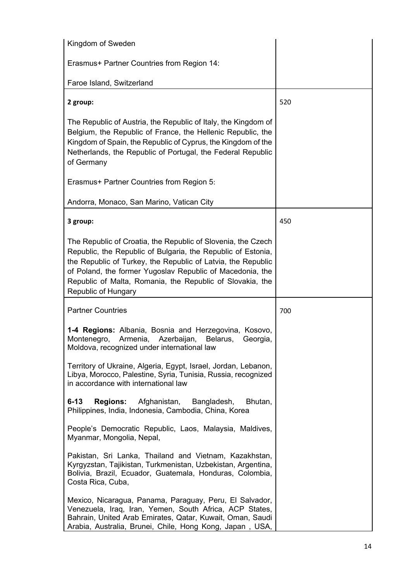| Kingdom of Sweden                                                                                                                                                                                                                                                                                                                             |     |
|-----------------------------------------------------------------------------------------------------------------------------------------------------------------------------------------------------------------------------------------------------------------------------------------------------------------------------------------------|-----|
| Erasmus+ Partner Countries from Region 14:                                                                                                                                                                                                                                                                                                    |     |
| Faroe Island, Switzerland                                                                                                                                                                                                                                                                                                                     |     |
| 2 group:                                                                                                                                                                                                                                                                                                                                      | 520 |
| The Republic of Austria, the Republic of Italy, the Kingdom of<br>Belgium, the Republic of France, the Hellenic Republic, the<br>Kingdom of Spain, the Republic of Cyprus, the Kingdom of the<br>Netherlands, the Republic of Portugal, the Federal Republic<br>of Germany                                                                    |     |
| Erasmus+ Partner Countries from Region 5:                                                                                                                                                                                                                                                                                                     |     |
| Andorra, Monaco, San Marino, Vatican City                                                                                                                                                                                                                                                                                                     |     |
| 3 group:                                                                                                                                                                                                                                                                                                                                      | 450 |
| The Republic of Croatia, the Republic of Slovenia, the Czech<br>Republic, the Republic of Bulgaria, the Republic of Estonia,<br>the Republic of Turkey, the Republic of Latvia, the Republic<br>of Poland, the former Yugoslav Republic of Macedonia, the<br>Republic of Malta, Romania, the Republic of Slovakia, the<br>Republic of Hungary |     |
| <b>Partner Countries</b>                                                                                                                                                                                                                                                                                                                      | 700 |
| 1-4 Regions: Albania, Bosnia and Herzegovina, Kosovo,<br>Montenegro,<br>Armenia,<br>Azerbaijan,<br>Belarus,<br>Georgia,<br>Moldova, recognized under international law                                                                                                                                                                        |     |
| Territory of Ukraine, Algeria, Egypt, Israel, Jordan, Lebanon,<br>Libya, Morocco, Palestine, Syria, Tunisia, Russia, recognized<br>in accordance with international law                                                                                                                                                                       |     |
| $6 - 13$<br><b>Regions:</b><br>Afghanistan,<br>Bangladesh,<br>Bhutan,<br>Philippines, India, Indonesia, Cambodia, China, Korea                                                                                                                                                                                                                |     |
| People's Democratic Republic, Laos, Malaysia, Maldives,<br>Myanmar, Mongolia, Nepal,                                                                                                                                                                                                                                                          |     |
| Pakistan, Sri Lanka, Thailand and Vietnam, Kazakhstan,<br>Kyrgyzstan, Tajikistan, Turkmenistan, Uzbekistan, Argentina,<br>Bolivia, Brazil, Ecuador, Guatemala, Honduras, Colombia,<br>Costa Rica, Cuba,                                                                                                                                       |     |
| Mexico, Nicaragua, Panama, Paraguay, Peru, El Salvador,<br>Venezuela, Iraq, Iran, Yemen, South Africa, ACP States,<br>Bahrain, United Arab Emirates, Qatar, Kuwait, Oman, Saudi<br>Arabia, Australia, Brunei, Chile, Hong Kong, Japan, USA,                                                                                                   |     |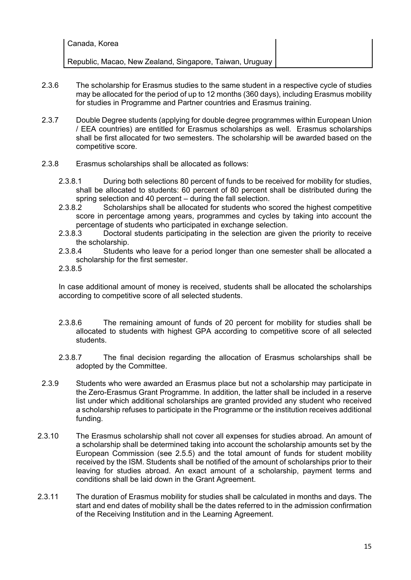| Canada, Korea                                            |  |
|----------------------------------------------------------|--|
| Republic, Macao, New Zealand, Singapore, Taiwan, Uruguay |  |

- 2.3.6 The scholarship for Erasmus studies to the same student in a respective cycle of studies may be allocated for the period of up to 12 months (360 days), including Erasmus mobility for studies in Programme and Partner countries and Erasmus training.
- 2.3.7 Double Degree students (applying for double degree programmes within European Union / EEA countries) are entitled for Erasmus scholarships as well. Erasmus scholarships shall be first allocated for two semesters. The scholarship will be awarded based on the competitive score.
- 2.3.8 Erasmus scholarships shall be allocated as follows:
	- 2.3.8.1 During both selections 80 percent of funds to be received for mobility for studies, shall be allocated to students: 60 percent of 80 percent shall be distributed during the spring selection and 40 percent – during the fall selection.
	- 2.3.8.2 Scholarships shall be allocated for students who scored the highest competitive score in percentage among years, programmes and cycles by taking into account the percentage of students who participated in exchange selection.<br>2.3.8.3 Doctoral students participating in the selection are give
	- Doctoral students participating in the selection are given the priority to receive the scholarship.
	- 2.3.8.4 Students who leave for a period longer than one semester shall be allocated a scholarship for the first semester.
	- 2.3.8.5

In case additional amount of money is received, students shall be allocated the scholarships according to competitive score of all selected students.

- 2.3.8.6 The remaining amount of funds of 20 percent for mobility for studies shall be allocated to students with highest GPA according to competitive score of all selected students.
- 2.3.8.7 The final decision regarding the allocation of Erasmus scholarships shall be adopted by the Committee.
- 2.3.9 Students who were awarded an Erasmus place but not a scholarship may participate in the Zero-Erasmus Grant Programme. In addition, the latter shall be included in a reserve list under which additional scholarships are granted provided any student who received a scholarship refuses to participate in the Programme or the institution receives additional funding.
- 2.3.10 The Erasmus scholarship shall not cover all expenses for studies abroad. An amount of a scholarship shall be determined taking into account the scholarship amounts set by the European Commission (see [2.5.5\)](#page-12-0) and the total amount of funds for student mobility received by the ISM. Students shall be notified of the amount of scholarships prior to their leaving for studies abroad. An exact amount of a scholarship, payment terms and conditions shall be laid down in the Grant Agreement.
- 2.3.11 The duration of Erasmus mobility for studies shall be calculated in months and days. The start and end dates of mobility shall be the dates referred to in the admission confirmation of the Receiving Institution and in the Learning Agreement.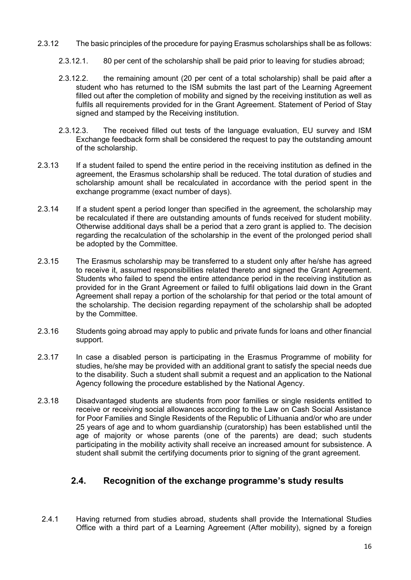- 2.3.12 The basic principles of the procedure for paying Erasmus scholarships shall be as follows:
	- 2.3.12.1. 80 per cent of the scholarship shall be paid prior to leaving for studies abroad;
	- 2.3.12.2. the remaining amount (20 per cent of a total scholarship) shall be paid after a student who has returned to the ISM submits the last part of the Learning Agreement filled out after the completion of mobility and signed by the receiving institution as well as fulfils all requirements provided for in the Grant Agreement. Statement of Period of Stay signed and stamped by the Receiving institution.
	- 2.3.12.3. The received filled out tests of the language evaluation, EU survey and ISM Exchange feedback form shall be considered the request to pay the outstanding amount of the scholarship.
- 2.3.13 If a student failed to spend the entire period in the receiving institution as defined in the agreement, the Erasmus scholarship shall be reduced. The total duration of studies and scholarship amount shall be recalculated in accordance with the period spent in the exchange programme (exact number of days).
- 2.3.14 If a student spent a period longer than specified in the agreement, the scholarship may be recalculated if there are outstanding amounts of funds received for student mobility. Otherwise additional days shall be a period that a zero grant is applied to. The decision regarding the recalculation of the scholarship in the event of the prolonged period shall be adopted by the Committee.
- 2.3.15 The Erasmus scholarship may be transferred to a student only after he/she has agreed to receive it, assumed responsibilities related thereto and signed the Grant Agreement. Students who failed to spend the entire attendance period in the receiving institution as provided for in the Grant Agreement or failed to fulfil obligations laid down in the Grant Agreement shall repay a portion of the scholarship for that period or the total amount of the scholarship. The decision regarding repayment of the scholarship shall be adopted by the Committee.
- 2.3.16 Students going abroad may apply to public and private funds for loans and other financial support.
- 2.3.17 In case a disabled person is participating in the Erasmus Programme of mobility for studies, he/she may be provided with an additional grant to satisfy the special needs due to the disability. Such a student shall submit a request and an application to the National Agency following the procedure established by the National Agency.
- 2.3.18 Disadvantaged students are students from poor families or single residents entitled to receive or receiving social allowances according to the Law on Cash Social Assistance for Poor Families and Single Residents of the Republic of Lithuania and/or who are under 25 years of age and to whom guardianship (curatorship) has been established until the age of majority or whose parents (one of the parents) are dead; such students participating in the mobility activity shall receive an increased amount for subsistence. A student shall submit the certifying documents prior to signing of the grant agreement.

#### **2.4. Recognition of the exchange programme's study results**

2.4.1 Having returned from studies abroad, students shall provide the International Studies Office with a third part of a Learning Agreement (After mobility), signed by a foreign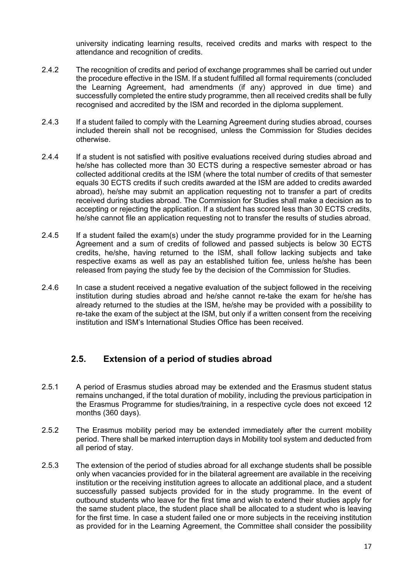university indicating learning results, received credits and marks with respect to the attendance and recognition of credits.

- 2.4.2 The recognition of credits and period of exchange programmes shall be carried out under the procedure effective in the ISM. If a student fulfilled all formal requirements (concluded the Learning Agreement, had amendments (if any) approved in due time) and successfully completed the entire study programme, then all received credits shall be fully recognised and accredited by the ISM and recorded in the diploma supplement.
- 2.4.3 If a student failed to comply with the Learning Agreement during studies abroad, courses included therein shall not be recognised, unless the Commission for Studies decides otherwise.
- 2.4.4 If a student is not satisfied with positive evaluations received during studies abroad and he/she has collected more than 30 ECTS during a respective semester abroad or has collected additional credits at the ISM (where the total number of credits of that semester equals 30 ECTS credits if such credits awarded at the ISM are added to credits awarded abroad), he/she may submit an application requesting not to transfer a part of credits received during studies abroad. The Commission for Studies shall make a decision as to accepting or rejecting the application. If a student has scored less than 30 ECTS credits, he/she cannot file an application requesting not to transfer the results of studies abroad.
- 2.4.5 If a student failed the exam(s) under the study programme provided for in the Learning Agreement and a sum of credits of followed and passed subjects is below 30 ECTS credits, he/she, having returned to the ISM, shall follow lacking subjects and take respective exams as well as pay an established tuition fee, unless he/she has been released from paying the study fee by the decision of the Commission for Studies.
- 2.4.6 In case a student received a negative evaluation of the subject followed in the receiving institution during studies abroad and he/she cannot re-take the exam for he/she has already returned to the studies at the ISM, he/she may be provided with a possibility to re-take the exam of the subject at the ISM, but only if a written consent from the receiving institution and ISM's International Studies Office has been received.

#### **2.5. Extension of a period of studies abroad**

- 2.5.1 A period of Erasmus studies abroad may be extended and the Erasmus student status remains unchanged, if the total duration of mobility, including the previous participation in the Erasmus Programme for studies/training, in a respective cycle does not exceed 12 months (360 days).
- 2.5.2 The Erasmus mobility period may be extended immediately after the current mobility period. There shall be marked interruption days in Mobility tool system and deducted from all period of stay.
- 2.5.3 The extension of the period of studies abroad for all exchange students shall be possible only when vacancies provided for in the bilateral agreement are available in the receiving institution or the receiving institution agrees to allocate an additional place, and a student successfully passed subjects provided for in the study programme. In the event of outbound students who leave for the first time and wish to extend their studies apply for the same student place, the student place shall be allocated to a student who is leaving for the first time. In case a student failed one or more subjects in the receiving institution as provided for in the Learning Agreement, the Committee shall consider the possibility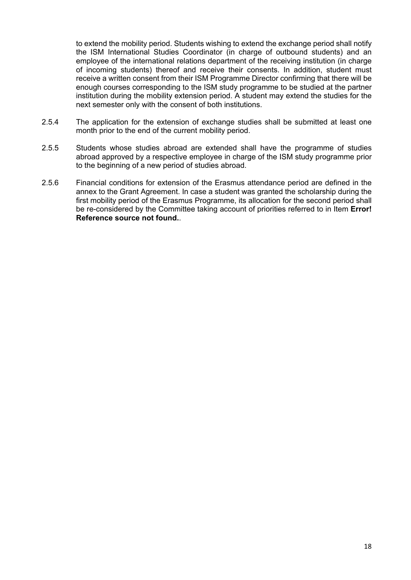to extend the mobility period. Students wishing to extend the exchange period shall notify the ISM International Studies Coordinator (in charge of outbound students) and an employee of the international relations department of the receiving institution (in charge of incoming students) thereof and receive their consents. In addition, student must receive a written consent from their ISM Programme Director confirming that there will be enough courses corresponding to the ISM study programme to be studied at the partner institution during the mobility extension period. A student may extend the studies for the next semester only with the consent of both institutions.

- 2.5.4 The application for the extension of exchange studies shall be submitted at least one month prior to the end of the current mobility period.
- 2.5.5 Students whose studies abroad are extended shall have the programme of studies abroad approved by a respective employee in charge of the ISM study programme prior to the beginning of a new period of studies abroad.
- 2.5.6 Financial conditions for extension of the Erasmus attendance period are defined in the annex to the Grant Agreement. In case a student was granted the scholarship during the first mobility period of the Erasmus Programme, its allocation for the second period shall be re-considered by the Committee taking account of priorities referred to in Item **Error! Reference source not found.**.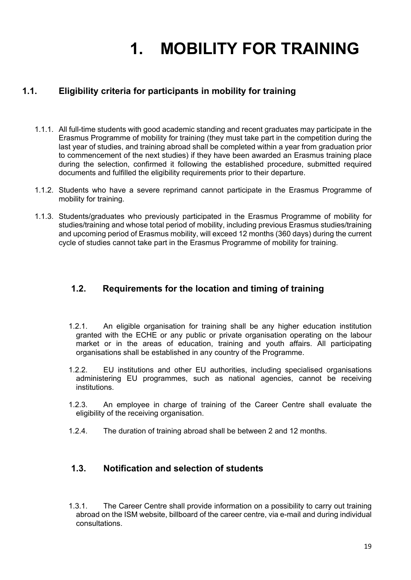# **1. MOBILITY FOR TRAINING**

#### **1.1. Eligibility criteria for participants in mobility for training**

- 1.1.1. All full-time students with good academic standing and recent graduates may participate in the Erasmus Programme of mobility for training (they must take part in the competition during the last year of studies, and training abroad shall be completed within a year from graduation prior to commencement of the next studies) if they have been awarded an Erasmus training place during the selection, confirmed it following the established procedure, submitted required documents and fulfilled the eligibility requirements prior to their departure.
- 1.1.2. Students who have a severe reprimand cannot participate in the Erasmus Programme of mobility for training.
- 1.1.3. Students/graduates who previously participated in the Erasmus Programme of mobility for studies/training and whose total period of mobility, including previous Erasmus studies/training and upcoming period of Erasmus mobility, will exceed 12 months (360 days) during the current cycle of studies cannot take part in the Erasmus Programme of mobility for training.

#### **1.2. Requirements for the location and timing of training**

- 1.2.1. An eligible organisation for training shall be any higher education institution granted with the ECHE or any public or private organisation operating on the labour market or in the areas of education, training and youth affairs. All participating organisations shall be established in any country of the Programme.
- 1.2.2. EU institutions and other EU authorities, including specialised organisations administering EU programmes, such as national agencies, cannot be receiving institutions.
- 1.2.3. An employee in charge of training of the Career Centre shall evaluate the eligibility of the receiving organisation.
- 1.2.4. The duration of training abroad shall be between 2 and 12 months.

#### **1.3. Notification and selection of students**

1.3.1. The Career Centre shall provide information on a possibility to carry out training abroad on the ISM website, billboard of the career centre, via e-mail and during individual consultations.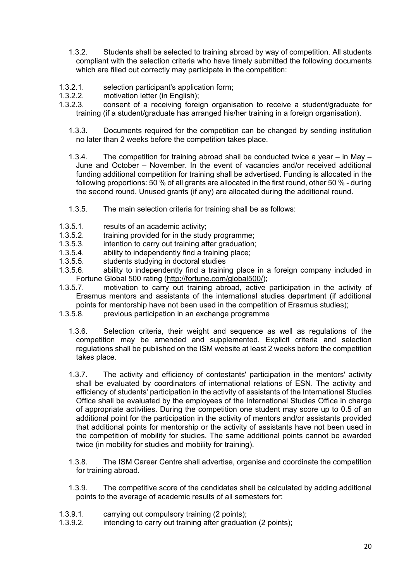- 1.3.2. Students shall be selected to training abroad by way of competition. All students compliant with the selection criteria who have timely submitted the following documents which are filled out correctly may participate in the competition:
- 1.3.2.1. selection participant's application form;
- 1.3.2.2. motivation letter (in English);
- 1.3.2.3. consent of a receiving foreign organisation to receive a student/graduate for training (if a student/graduate has arranged his/her training in a foreign organisation).
	- 1.3.3. Documents required for the competition can be changed by sending institution no later than 2 weeks before the competition takes place.
	- 1.3.4. The competition for training abroad shall be conducted twice a year in May June and October – November. In the event of vacancies and/or received additional funding additional competition for training shall be advertised. Funding is allocated in the following proportions: 50 % of all grants are allocated in the first round, other 50 % - during the second round. Unused grants (if any) are allocated during the additional round.
	- 1.3.5. The main selection criteria for training shall be as follows:
- 1.3.5.1. results of an academic activity;
- 1.3.5.2. training provided for in the study programme;
- 1.3.5.3. intention to carry out training after graduation;<br>1.3.5.4. ability to independently find a training place:
- ability to independently find a training place;
- 1.3.5.5. students studying in doctoral studies<br>1.3.5.6. ability to independently find a training
- ability to independently find a training place in a foreign company included in Fortune Global 500 rating ([http://fortune.com/global500/](http://fortune.coim/global500/));
- 1.3.5.7. motivation to carry out training abroad, active participation in the activity of Erasmus mentors and assistants of the international studies department (if additional points for mentorship have not been used in the competition of Erasmus studies);<br>1.3.5.8. previous participation in an exchange programme
- previous participation in an exchange programme
	- 1.3.6. Selection criteria, their weight and sequence as well as regulations of the competition may be amended and supplemented. Explicit criteria and selection regulations shall be published on the ISM website at least 2 weeks before the competition takes place.
	- 1.3.7. The activity and efficiency of contestants' participation in the mentors' activity shall be evaluated by coordinators of international relations of ESN. The activity and efficiency of students' participation in the activity of assistants of the International Studies Office shall be evaluated by the employees of the International Studies Office in charge of appropriate activities. During the competition one student may score up to 0.5 of an additional point for the participation in the activity of mentors and/or assistants provided that additional points for mentorship or the activity of assistants have not been used in the competition of mobility for studies. The same additional points cannot be awarded twice (in mobility for studies and mobility for training).
	- 1.3.8. The ISM Career Centre shall advertise, organise and coordinate the competition for training abroad.
	- 1.3.9. The competitive score of the candidates shall be calculated by adding additional points to the average of academic results of all semesters for:
- 1.3.9.1. carrying out compulsory training (2 points);
- 1.3.9.2. intending to carry out training after graduation (2 points);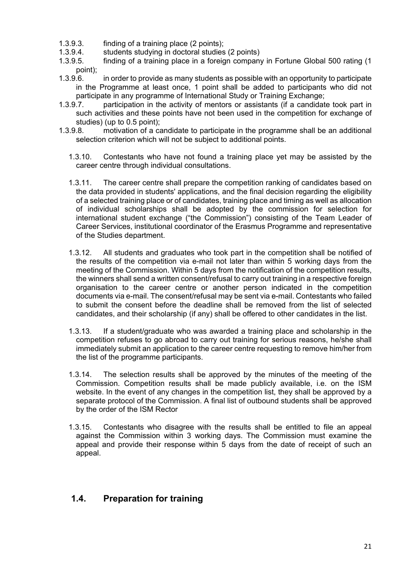- 1.3.9.3. finding of a training place (2 points);
- 1.3.9.4. students studying in doctoral studies (2 points)
- 1.3.9.5. finding of a training place in a foreign company in Fortune Global 500 rating (1 point);
- 1.3.9.6. in order to provide as many students as possible with an opportunity to participate in the Programme at least once, 1 point shall be added to participants who did not participate in any programme of International Study or Training Exchange;
- 1.3.9.7. participation in the activity of mentors or assistants (if a candidate took part in such activities and these points have not been used in the competition for exchange of studies) (up to 0.5 point);
- 1.3.9.8. motivation of a candidate to participate in the programme shall be an additional selection criterion which will not be subject to additional points.
	- 1.3.10. Contestants who have not found a training place yet may be assisted by the career centre through individual consultations.
	- 1.3.11. The career centre shall prepare the competition ranking of candidates based on the data provided in students' applications, and the final decision regarding the eligibility of a selected training place or of candidates, training place and timing as well as allocation of individual scholarships shall be adopted by the commission for selection for international student exchange ("the Commission") consisting of the Team Leader of Career Services, institutional coordinator of the Erasmus Programme and representative of the Studies department.
	- 1.3.12. All students and graduates who took part in the competition shall be notified of the results of the competition via e-mail not later than within 5 working days from the meeting of the Commission. Within 5 days from the notification of the competition results, the winners shall send a written consent/refusal to carry out training in a respective foreign organisation to the career centre or another person indicated in the competition documents via e-mail. The consent/refusal may be sent via e-mail. Contestants who failed to submit the consent before the deadline shall be removed from the list of selected candidates, and their scholarship (if any) shall be offered to other candidates in the list.
	- 1.3.13. If a student/graduate who was awarded a training place and scholarship in the competition refuses to go abroad to carry out training for serious reasons, he/she shall immediately submit an application to the career centre requesting to remove him/her from the list of the programme participants.
	- 1.3.14. The selection results shall be approved by the minutes of the meeting of the Commission. Competition results shall be made publicly available, i.e. on the ISM website. In the event of any changes in the competition list, they shall be approved by a separate protocol of the Commission. A final list of outbound students shall be approved by the order of the ISM Rector
	- 1.3.15. Contestants who disagree with the results shall be entitled to file an appeal against the Commission within 3 working days. The Commission must examine the appeal and provide their response within 5 days from the date of receipt of such an appeal.

#### **1.4. Preparation for training**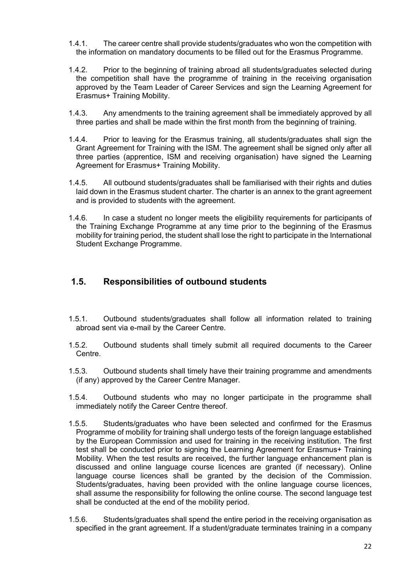- 1.4.1. The career centre shall provide students/graduates who won the competition with the information on mandatory documents to be filled out for the Erasmus Programme.
- 1.4.2. Prior to the beginning of training abroad all students/graduates selected during the competition shall have the programme of training in the receiving organisation approved by the Team Leader of Career Services and sign the Learning Agreement for Erasmus+ Training Mobility.
- 1.4.3. Any amendments to the training agreement shall be immediately approved by all three parties and shall be made within the first month from the beginning of training.
- 1.4.4. Prior to leaving for the Erasmus training, all students/graduates shall sign the Grant Agreement for Training with the ISM. The agreement shall be signed only after all three parties (apprentice, ISM and receiving organisation) have signed the Learning Agreement for Erasmus+ Training Mobility.
- 1.4.5. All outbound students/graduates shall be familiarised with their rights and duties laid down in the Erasmus student charter. The charter is an annex to the grant agreement and is provided to students with the agreement.
- 1.4.6. In case a student no longer meets the eligibility requirements for participants of the Training Exchange Programme at any time prior to the beginning of the Erasmus mobility for training period, the student shall lose the right to participate in the International Student Exchange Programme.

#### **1.5. Responsibilities of outbound students**

- 1.5.1. Outbound students/graduates shall follow all information related to training abroad sent via e-mail by the Career Centre.
- 1.5.2. Outbound students shall timely submit all required documents to the Career Centre.
- 1.5.3. Outbound students shall timely have their training programme and amendments (if any) approved by the Career Centre Manager.
- 1.5.4. Outbound students who may no longer participate in the programme shall immediately notify the Career Centre thereof.
- 1.5.5. Students/graduates who have been selected and confirmed for the Erasmus Programme of mobility for training shall undergo tests of the foreign language established by the European Commission and used for training in the receiving institution. The first test shall be conducted prior to signing the Learning Agreement for Erasmus+ Training Mobility. When the test results are received, the further language enhancement plan is discussed and online language course licences are granted (if necessary). Online language course licences shall be granted by the decision of the Commission. Students/graduates, having been provided with the online language course licences, shall assume the responsibility for following the online course. The second language test shall be conducted at the end of the mobility period.
- 1.5.6. Students/graduates shall spend the entire period in the receiving organisation as specified in the grant agreement. If a student/graduate terminates training in a company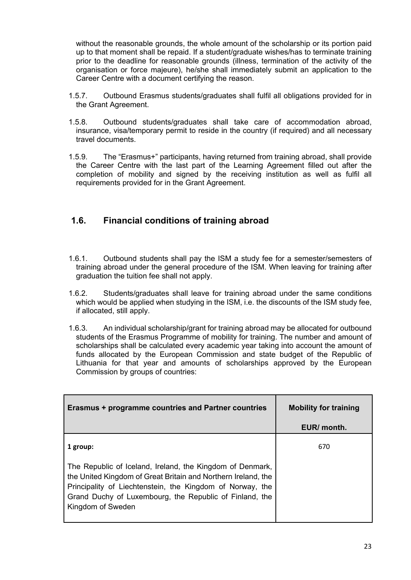without the reasonable grounds, the whole amount of the scholarship or its portion paid up to that moment shall be repaid. If a student/graduate wishes/has to terminate training prior to the deadline for reasonable grounds (illness, termination of the activity of the organisation or force majeure), he/she shall immediately submit an application to the Career Centre with a document certifying the reason.

- 1.5.7. Outbound Erasmus students/graduates shall fulfil all obligations provided for in the Grant Agreement.
- 1.5.8. Outbound students/graduates shall take care of accommodation abroad, insurance, visa/temporary permit to reside in the country (if required) and all necessary travel documents.
- 1.5.9. The "Erasmus+" participants, having returned from training abroad, shall provide the Career Centre with the last part of the Learning Agreement filled out after the completion of mobility and signed by the receiving institution as well as fulfil all requirements provided for in the Grant Agreement.

#### **1.6. Financial conditions of training abroad**

- 1.6.1. Outbound students shall pay the ISM a study fee for a semester/semesters of training abroad under the general procedure of the ISM. When leaving for training after graduation the tuition fee shall not apply.
- 1.6.2. Students/graduates shall leave for training abroad under the same conditions which would be applied when studying in the ISM, i.e. the discounts of the ISM study fee, if allocated, still apply.
- 1.6.3. An individual scholarship/grant for training abroad may be allocated for outbound students of the Erasmus Programme of mobility for training. The number and amount of scholarships shall be calculated every academic year taking into account the amount of funds allocated by the European Commission and state budget of the Republic of Lithuania for that year and amounts of scholarships approved by the European Commission by groups of countries:

| Erasmus + programme countries and Partner countries                                                                                                                                                                                                                     | <b>Mobility for training</b> |
|-------------------------------------------------------------------------------------------------------------------------------------------------------------------------------------------------------------------------------------------------------------------------|------------------------------|
|                                                                                                                                                                                                                                                                         | EUR/ month.                  |
| 1 group:                                                                                                                                                                                                                                                                | 670                          |
| The Republic of Iceland, Ireland, the Kingdom of Denmark,<br>the United Kingdom of Great Britain and Northern Ireland, the<br>Principality of Liechtenstein, the Kingdom of Norway, the<br>Grand Duchy of Luxembourg, the Republic of Finland, the<br>Kingdom of Sweden |                              |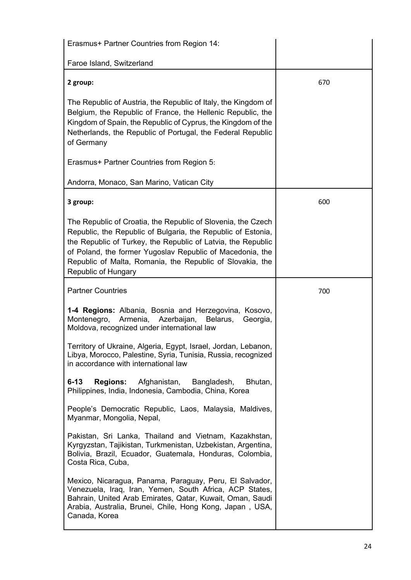| Erasmus+ Partner Countries from Region 14:                                                                                                                                                                                                                                                                                                    |     |
|-----------------------------------------------------------------------------------------------------------------------------------------------------------------------------------------------------------------------------------------------------------------------------------------------------------------------------------------------|-----|
| Faroe Island, Switzerland                                                                                                                                                                                                                                                                                                                     |     |
| 2 group:                                                                                                                                                                                                                                                                                                                                      | 670 |
| The Republic of Austria, the Republic of Italy, the Kingdom of<br>Belgium, the Republic of France, the Hellenic Republic, the<br>Kingdom of Spain, the Republic of Cyprus, the Kingdom of the<br>Netherlands, the Republic of Portugal, the Federal Republic<br>of Germany                                                                    |     |
| Erasmus+ Partner Countries from Region 5:                                                                                                                                                                                                                                                                                                     |     |
| Andorra, Monaco, San Marino, Vatican City                                                                                                                                                                                                                                                                                                     |     |
| 3 group:                                                                                                                                                                                                                                                                                                                                      | 600 |
| The Republic of Croatia, the Republic of Slovenia, the Czech<br>Republic, the Republic of Bulgaria, the Republic of Estonia,<br>the Republic of Turkey, the Republic of Latvia, the Republic<br>of Poland, the former Yugoslav Republic of Macedonia, the<br>Republic of Malta, Romania, the Republic of Slovakia, the<br>Republic of Hungary |     |
|                                                                                                                                                                                                                                                                                                                                               |     |
| <b>Partner Countries</b>                                                                                                                                                                                                                                                                                                                      | 700 |
| 1-4 Regions: Albania, Bosnia and Herzegovina, Kosovo,<br>Montenegro,<br>Armenia, Azerbaijan,<br>Belarus,<br>Georgia,<br>Moldova, recognized under international law                                                                                                                                                                           |     |
| Territory of Ukraine, Algeria, Egypt, Israel, Jordan, Lebanon,<br>Libya, Morocco, Palestine, Syria, Tunisia, Russia, recognized<br>in accordance with international law                                                                                                                                                                       |     |
| $6 - 13$<br><b>Regions:</b><br>Afghanistan,<br>Bangladesh,<br>Bhutan,<br>Philippines, India, Indonesia, Cambodia, China, Korea                                                                                                                                                                                                                |     |
| People's Democratic Republic, Laos, Malaysia, Maldives,<br>Myanmar, Mongolia, Nepal,                                                                                                                                                                                                                                                          |     |
| Pakistan, Sri Lanka, Thailand and Vietnam, Kazakhstan,<br>Kyrgyzstan, Tajikistan, Turkmenistan, Uzbekistan, Argentina,<br>Bolivia, Brazil, Ecuador, Guatemala, Honduras, Colombia,<br>Costa Rica, Cuba,                                                                                                                                       |     |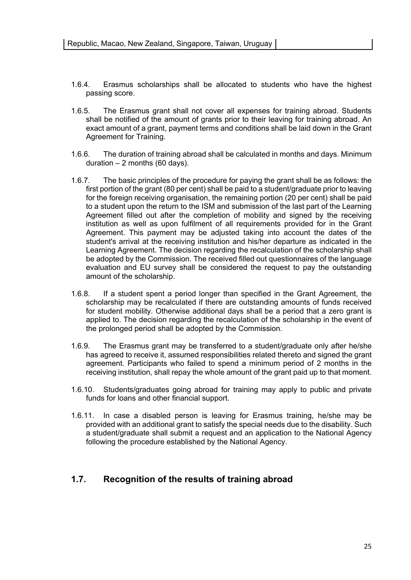- 1.6.4. Erasmus scholarships shall be allocated to students who have the highest passing score.
- 1.6.5. The Erasmus grant shall not cover all expenses for training abroad. Students shall be notified of the amount of grants prior to their leaving for training abroad. An exact amount of a grant, payment terms and conditions shall be laid down in the Grant Agreement for Training.
- 1.6.6. The duration of training abroad shall be calculated in months and days. Minimum duration  $-2$  months (60 days).
- 1.6.7. The basic principles of the procedure for paying the grant shall be as follows: the first portion of the grant (80 per cent) shall be paid to a student/graduate prior to leaving for the foreign receiving organisation, the remaining portion (20 per cent) shall be paid to a student upon the return to the ISM and submission of the last part of the Learning Agreement filled out after the completion of mobility and signed by the receiving institution as well as upon fulfilment of all requirements provided for in the Grant Agreement. This payment may be adjusted taking into account the dates of the student's arrival at the receiving institution and his/her departure as indicated in the Learning Agreement. The decision regarding the recalculation of the scholarship shall be adopted by the Commission. The received filled out questionnaires of the language evaluation and EU survey shall be considered the request to pay the outstanding amount of the scholarship.
- 1.6.8. If a student spent a period longer than specified in the Grant Agreement, the scholarship may be recalculated if there are outstanding amounts of funds received for student mobility. Otherwise additional days shall be a period that a zero grant is applied to. The decision regarding the recalculation of the scholarship in the event of the prolonged period shall be adopted by the Commission.
- 1.6.9. The Erasmus grant may be transferred to a student/graduate only after he/she has agreed to receive it, assumed responsibilities related thereto and signed the grant agreement. Participants who failed to spend a minimum period of 2 months in the receiving institution, shall repay the whole amount of the grant paid up to that moment.
- 1.6.10. Students/graduates going abroad for training may apply to public and private funds for loans and other financial support.
- 1.6.11. In case a disabled person is leaving for Erasmus training, he/she may be provided with an additional grant to satisfy the special needs due to the disability. Such a student/graduate shall submit a request and an application to the National Agency following the procedure established by the National Agency.

#### **1.7. Recognition of the results of training abroad**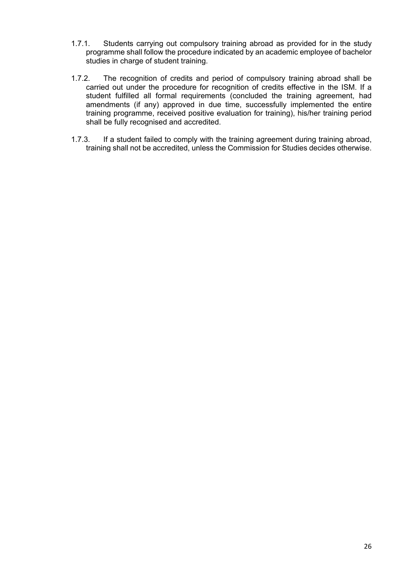- 1.7.1. Students carrying out compulsory training abroad as provided for in the study programme shall follow the procedure indicated by an academic employee of bachelor studies in charge of student training.
- 1.7.2. The recognition of credits and period of compulsory training abroad shall be carried out under the procedure for recognition of credits effective in the ISM. If a student fulfilled all formal requirements (concluded the training agreement, had amendments (if any) approved in due time, successfully implemented the entire training programme, received positive evaluation for training), his/her training period shall be fully recognised and accredited.
- 1.7.3. If a student failed to comply with the training agreement during training abroad, training shall not be accredited, unless the Commission for Studies decides otherwise.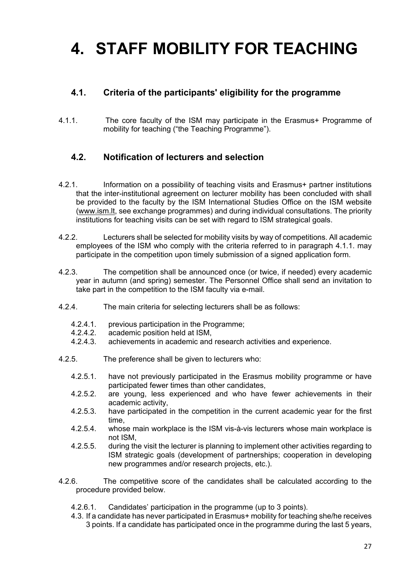# **4. STAFF MOBILITY FOR TEACHING**

#### **4.1. Criteria of the participants' eligibility for the programme**

4.1.1. The core faculty of the ISM may participate in the Erasmus+ Programme of mobility for teaching ("the Teaching Programme").

#### **4.2. Notification of lecturers and selection**

- 4.2.1. Information on a possibility of teaching visits and Erasmus+ partner institutions that the inter-institutional agreement on lecturer mobility has been concluded with shall be provided to the faculty by the ISM International Studies Office on the ISM website ([www.ism.lt](http://www.ism.lt/), see exchange programmes) and during individual consultations. The priority institutions for teaching visits can be set with regard to ISM strategical goals.
- 4.2.2. Lecturers shall be selected for mobility visits by way of competitions. All academic employees of the ISM who comply with the criteria referred to in paragraph 4.1.1. may participate in the competition upon timely submission of a signed application form.
- 4.2.3. The competition shall be announced once (or twice, if needed) every academic year in autumn (and spring) semester. The Personnel Office shall send an invitation to take part in the competition to the ISM faculty via e-mail.
- 4.2.4. The main criteria for selecting lecturers shall be as follows:
	- 4.2.4.1. previous participation in the Programme;
	- 4.2.4.2. academic position held at ISM,
	- 4.2.4.3. achievements in academic and research activities and experience.
- 4.2.5. The preference shall be given to lecturers who:
	- 4.2.5.1. have not previously participated in the Erasmus mobility programme or have participated fewer times than other candidates,
	- 4.2.5.2. are young, less experienced and who have fewer achievements in their academic activity,
	- 4.2.5.3. have participated in the competition in the current academic year for the first time,
	- 4.2.5.4. whose main workplace is the ISM vis-à-vis lecturers whose main workplace is not ISM,
	- 4.2.5.5. during the visit the lecturer is planning to implement other activities regarding to ISM strategic goals (development of partnerships; cooperation in developing new programmes and/or research projects, etc.).
- 4.2.6. The competitive score of the candidates shall be calculated according to the procedure provided below.
	- 4.2.6.1. Candidates' participation in the programme (up to 3 points).
	- 4.3. If a candidate has never participated in Erasmus+ mobility for teaching she/he receives 3 points. If a candidate has participated once in the programme during the last 5 years,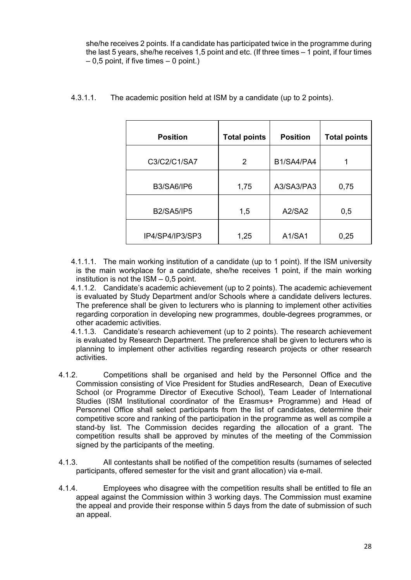she/he receives 2 points. If a candidate has participated twice in the programme during the last 5 years, she/he receives 1,5 point and etc. (If three times – 1 point, if four times  $-0.5$  point, if five times  $-0$  point.)

| <b>Position</b>   | <b>Total points</b> | <b>Position</b> | <b>Total points</b> |
|-------------------|---------------------|-----------------|---------------------|
| C3/C2/C1/SA7      | 2                   | B1/SA4/PA4      |                     |
| <b>B3/SA6/IP6</b> | 1,75                | A3/SA3/PA3      | 0,75                |
| <b>B2/SA5/IP5</b> | 1,5                 | A2/SA2          | 0,5                 |
| IP4/SP4/IP3/SP3   | 1,25                | A1/SA1          | 0,25                |

4.3.1.1. The academic position held at ISM by a candidate (up to 2 points).

- 4.1.1.1. The main working institution of a candidate (up to 1 point). If the ISM university is the main workplace for a candidate, she/he receives 1 point, if the main working institution is not the ISM – 0,5 point.
- 4.1.1.2. Candidate's academic achievement (up to 2 points). The academic achievement is evaluated by Study Department and/or Schools where a candidate delivers lectures. The preference shall be given to lecturers who is planning to implement other activities regarding corporation in developing new programmes, double-degrees programmes, or other academic activities.
- 4.1.1.3. Candidate's research achievement (up to 2 points). The research achievement is evaluated by Research Department. The preference shall be given to lecturers who is planning to implement other activities regarding research projects or other research activities.
- 4.1.2. Competitions shall be organised and held by the Personnel Office and the Commission consisting of Vice President for Studies andResearch, Dean of Executive School (or Programme Director of Executive School), Team Leader of International Studies (ISM Institutional coordinator of the Erasmus+ Programme) and Head of Personnel Office shall select participants from the list of candidates, determine their competitive score and ranking of the participation in the programme as well as compile a stand-by list. The Commission decides regarding the allocation of a grant. The competition results shall be approved by minutes of the meeting of the Commission signed by the participants of the meeting.
- 4.1.3. All contestants shall be notified of the competition results (surnames of selected participants, offered semester for the visit and grant allocation) via e-mail.
- 4.1.4. Employees who disagree with the competition results shall be entitled to file an appeal against the Commission within 3 working days. The Commission must examine the appeal and provide their response within 5 days from the date of submission of such an appeal.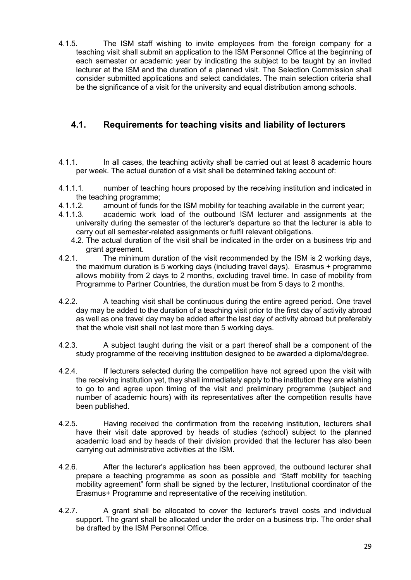4.1.5. The ISM staff wishing to invite employees from the foreign company for a teaching visit shall submit an application to the ISM Personnel Office at the beginning of each semester or academic year by indicating the subject to be taught by an invited lecturer at the ISM and the duration of a planned visit. The Selection Commission shall consider submitted applications and select candidates. The main selection criteria shall be the significance of a visit for the university and equal distribution among schools.

#### **4.1. Requirements for teaching visits and liability of lecturers**

- 4.1.1. In all cases, the teaching activity shall be carried out at least 8 academic hours per week. The actual duration of a visit shall be determined taking account of:
- 4.1.1.1. number of teaching hours proposed by the receiving institution and indicated in the teaching programme;
- 4.1.1.2. amount of funds for the ISM mobility for teaching available in the current year;
- 4.1.1.3. academic work load of the outbound ISM lecturer and assignments at the university during the semester of the lecturer's departure so that the lecturer is able to carry out all semester-related assignments or fulfil relevant obligations.
	- 4.2. The actual duration of the visit shall be indicated in the order on a business trip and grant agreement.
- 4.2.1. The minimum duration of the visit recommended by the ISM is 2 working days, the maximum duration is 5 working days (including travel days). Erasmus + programme allows mobility from 2 days to 2 months, excluding travel time. In case of mobility from Programme to Partner Countries, the duration must be from 5 days to 2 months.
- 4.2.2. A teaching visit shall be continuous during the entire agreed period. One travel day may be added to the duration of a teaching visit prior to the first day of activity abroad as well as one travel day may be added after the last day of activity abroad but preferably that the whole visit shall not last more than 5 working days.
- 4.2.3. A subject taught during the visit or a part thereof shall be a component of the study programme of the receiving institution designed to be awarded a diploma/degree.
- 4.2.4. If lecturers selected during the competition have not agreed upon the visit with the receiving institution yet, they shall immediately apply to the institution they are wishing to go to and agree upon timing of the visit and preliminary programme (subject and number of academic hours) with its representatives after the competition results have been published.
- 4.2.5. Having received the confirmation from the receiving institution, lecturers shall have their visit date approved by heads of studies (school) subject to the planned academic load and by heads of their division provided that the lecturer has also been carrying out administrative activities at the ISM.
- 4.2.6. After the lecturer's application has been approved, the outbound lecturer shall prepare a teaching programme as soon as possible and "Staff mobility for teaching mobility agreement" form shall be signed by the lecturer, Institutional coordinator of the Erasmus+ Programme and representative of the receiving institution.
- 4.2.7. A grant shall be allocated to cover the lecturer's travel costs and individual support. The grant shall be allocated under the order on a business trip. The order shall be drafted by the ISM Personnel Office.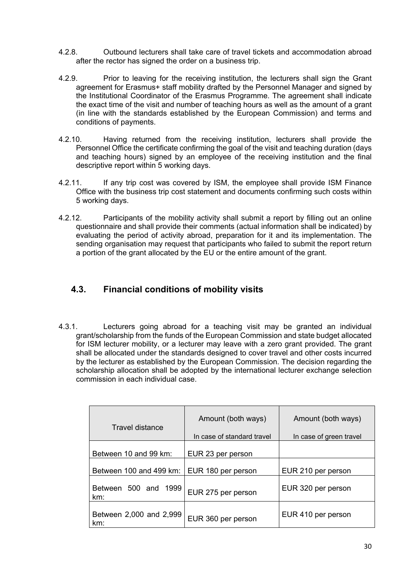- 4.2.8. Outbound lecturers shall take care of travel tickets and accommodation abroad after the rector has signed the order on a business trip.
- 4.2.9. Prior to leaving for the receiving institution, the lecturers shall sign the Grant agreement for Erasmus+ staff mobility drafted by the Personnel Manager and signed by the Institutional Coordinator of the Erasmus Programme. The agreement shall indicate the exact time of the visit and number of teaching hours as well as the amount of a grant (in line with the standards established by the European Commission) and terms and conditions of payments.
- 4.2.10. Having returned from the receiving institution, lecturers shall provide the Personnel Office the certificate confirming the goal of the visit and teaching duration (days and teaching hours) signed by an employee of the receiving institution and the final descriptive report within 5 working days.
- 4.2.11. If any trip cost was covered by ISM, the employee shall provide ISM Finance Office with the business trip cost statement and documents confirming such costs within 5 working days.
- 4.2.12. Participants of the mobility activity shall submit a report by filling out an online questionnaire and shall provide their comments (actual information shall be indicated) by evaluating the period of activity abroad, preparation for it and its implementation. The sending organisation may request that participants who failed to submit the report return a portion of the grant allocated by the EU or the entire amount of the grant.

#### **4.3. Financial conditions of mobility visits**

4.3.1. Lecturers going abroad for a teaching visit may be granted an individual grant/scholarship from the funds of the European Commission and state budget allocated for ISM lecturer mobility, or a lecturer may leave with a zero grant provided. The grant shall be allocated under the standards designed to cover travel and other costs incurred by the lecturer as established by the European Commission. The decision regarding the scholarship allocation shall be adopted by the international lecturer exchange selection commission in each individual case.

| Travel distance                | Amount (both ways)<br>In case of standard travel | Amount (both ways)<br>In case of green travel |
|--------------------------------|--------------------------------------------------|-----------------------------------------------|
| Between 10 and 99 km:          | EUR 23 per person                                |                                               |
| Between 100 and 499 km:        | EUR 180 per person                               | EUR 210 per person                            |
| Between 500 and 1999<br>km:    | EUR 275 per person                               | EUR 320 per person                            |
| Between 2,000 and 2,999<br>km: | EUR 360 per person                               | EUR 410 per person                            |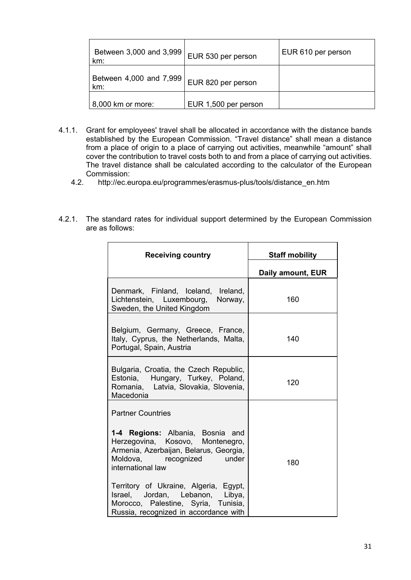| Between 3,000 and 3,999<br>km: | EUR 530 per person   | EUR 610 per person |
|--------------------------------|----------------------|--------------------|
| Between 4,000 and 7,999<br>km: | EUR 820 per person   |                    |
| 8,000 km or more:              | EUR 1,500 per person |                    |

- 4.1.1. Grant for employees' travel shall be allocated in accordance with the distance bands established by the European Commission. "Travel distance" shall mean a distance from a place of origin to a place of carrying out activities, meanwhile "amount" shall cover the contribution to travel costs both to and from a place of carrying out activities. The travel distance shall be calculated according to the calculator of the European Commission:
	- 4.2. [http://ec.europa.eu/programmes/erasmus-plus/tools/distance\\_en.htm](http://ec.europa.eu/programmes/erasmus-plus/tools/distance_en.htm)
- 4.2.1. The standard rates for individual support determined by the European Commission are as follows:

| <b>Receiving country</b>                                                                                                                                                       | <b>Staff mobility</b> |
|--------------------------------------------------------------------------------------------------------------------------------------------------------------------------------|-----------------------|
|                                                                                                                                                                                | Daily amount, EUR     |
| Denmark, Finland, Iceland, Ireland,<br>Lichtenstein, Luxembourg,<br>Norway,<br>Sweden, the United Kingdom                                                                      | 160                   |
| Belgium, Germany, Greece, France,<br>Italy, Cyprus, the Netherlands, Malta,<br>Portugal, Spain, Austria                                                                        | 140                   |
| Bulgaria, Croatia, the Czech Republic,<br>Estonia, Hungary, Turkey, Poland,<br>Romania, Latvia, Slovakia, Slovenia,<br>Macedonia                                               | 120                   |
| <b>Partner Countries</b>                                                                                                                                                       |                       |
| 1-4 Regions: Albania, Bosnia and<br>Herzegovina, Kosovo, Montenegro,<br>Armenia, Azerbaijan, Belarus, Georgia,<br>Moldova, recognized<br><b>Example 1</b><br>international law | 180                   |
| Territory of Ukraine, Algeria, Egypt,<br>Israel, Jordan, Lebanon, Libya,<br>Morocco, Palestine, Syria, Tunisia,<br>Russia, recognized in accordance with                       |                       |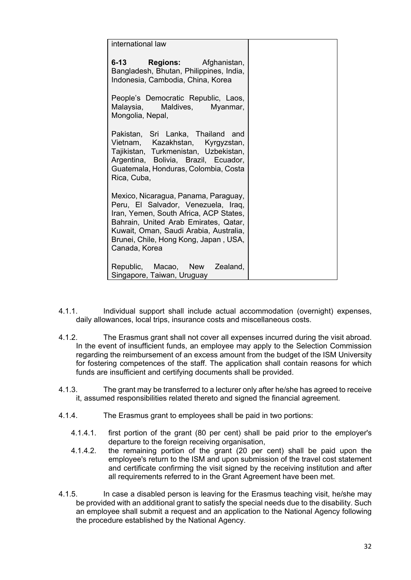| international law                                                                                                                                                                                                                                                  |  |
|--------------------------------------------------------------------------------------------------------------------------------------------------------------------------------------------------------------------------------------------------------------------|--|
| <b>Regions:</b> Afghanistan,<br>6-13 —<br>Bangladesh, Bhutan, Philippines, India,<br>Indonesia, Cambodia, China, Korea                                                                                                                                             |  |
| People's Democratic Republic, Laos,<br>Malaysia, Maldives, Myanmar,<br>Mongolia, Nepal,                                                                                                                                                                            |  |
| Pakistan, Sri Lanka, Thailand and<br>Vietnam, Kazakhstan, Kyrgyzstan,<br>Tajikistan, Turkmenistan, Uzbekistan,<br>Argentina, Bolivia, Brazil, Ecuador,<br>Guatemala, Honduras, Colombia, Costa<br>Rica, Cuba,                                                      |  |
| Mexico, Nicaragua, Panama, Paraguay,<br>Peru, El Salvador, Venezuela, Iraq,<br>Iran, Yemen, South Africa, ACP States,<br>Bahrain, United Arab Emirates, Qatar,<br>Kuwait, Oman, Saudi Arabia, Australia,<br>Brunei, Chile, Hong Kong, Japan, USA,<br>Canada, Korea |  |
| Republic, Macao, New Zealand,<br>Singapore, Taiwan, Uruguay                                                                                                                                                                                                        |  |

- 4.1.1. Individual support shall include actual accommodation (overnight) expenses, daily allowances, local trips, insurance costs and miscellaneous costs.
- 4.1.2. The Erasmus grant shall not cover all expenses incurred during the visit abroad. In the event of insufficient funds, an employee may apply to the Selection Commission regarding the reimbursement of an excess amount from the budget of the ISM University for fostering competences of the staff. The application shall contain reasons for which funds are insufficient and certifying documents shall be provided.
- 4.1.3. The grant may be transferred to a lecturer only after he/she has agreed to receive it, assumed responsibilities related thereto and signed the financial agreement.
- 4.1.4. The Erasmus grant to employees shall be paid in two portions:
	- 4.1.4.1. first portion of the grant (80 per cent) shall be paid prior to the employer's departure to the foreign receiving organisation,
	- 4.1.4.2. the remaining portion of the grant (20 per cent) shall be paid upon the employee's return to the ISM and upon submission of the travel cost statement and certificate confirming the visit signed by the receiving institution and after all requirements referred to in the Grant Agreement have been met.
- 4.1.5. In case a disabled person is leaving for the Erasmus teaching visit, he/she may be provided with an additional grant to satisfy the special needs due to the disability. Such an employee shall submit a request and an application to the National Agency following the procedure established by the National Agency.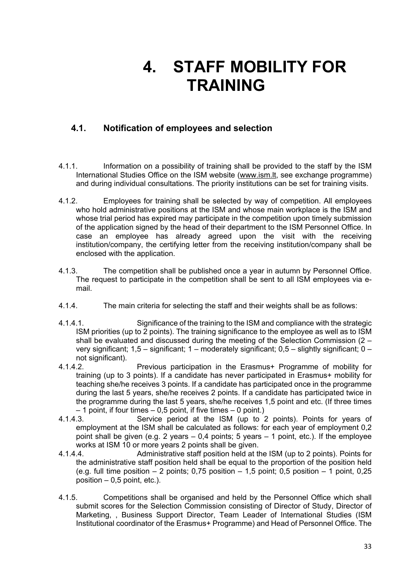## **4. STAFF MOBILITY FOR TRAINING**

#### **4.1. Notification of employees and selection**

- 4.1.1. Information on a possibility of training shall be provided to the staff by the ISM International Studies Office on the ISM website ([www.ism.lt](http://www.ism.lt/), see exchange programme) and during individual consultations. The priority institutions can be set for training visits.
- 4.1.2. Employees for training shall be selected by way of competition. All employees who hold administrative positions at the ISM and whose main workplace is the ISM and whose trial period has expired may participate in the competition upon timely submission of the application signed by the head of their department to the ISM Personnel Office. In case an employee has already agreed upon the visit with the receiving institution/company, the certifying letter from the receiving institution/company shall be enclosed with the application.
- 4.1.3. The competition shall be published once a year in autumn by Personnel Office. The request to participate in the competition shall be sent to all ISM employees via email.
- 4.1.4. The main criteria for selecting the staff and their weights shall be as follows:
- 4.1.4.1. Significance of the training to the ISM and compliance with the strategic ISM priorities (up to 2 points). The training significance to the employee as well as to ISM shall be evaluated and discussed during the meeting of the Selection Commission (2 – very significant; 1,5 – significant; 1 – moderately significant; 0,5 – slightly significant; 0 – not significant).
- 4.1.4.2. Previous participation in the Erasmus+ Programme of mobility for training (up to 3 points). If a candidate has never participated in Erasmus+ mobility for teaching she/he receives 3 points. If a candidate has participated once in the programme during the last 5 years, she/he receives 2 points. If a candidate has participated twice in the programme during the last 5 years, she/he receives 1,5 point and etc. (If three times  $-1$  point, if four times  $-0.5$  point, if five times  $-0$  point.)<br>4.1.4.3. Service period at the ISM (up to 2
- Service period at the ISM (up to 2 points). Points for years of employment at the ISM shall be calculated as follows: for each year of employment 0,2 point shall be given (e.g. 2 years  $-0.4$  points; 5 years  $-1$  point, etc.). If the employee works at ISM 10 or more years 2 points shall be given.
- 4.1.4.4. Administrative staff position held at the ISM (up to 2 points). Points for the administrative staff position held shall be equal to the proportion of the position held (e.g. full time position  $-2$  points; 0,75 position  $-1,5$  point; 0,5 position  $-1$  point, 0,25 position  $-0.5$  point, etc.).
- 4.1.5. Competitions shall be organised and held by the Personnel Office which shall submit scores for the Selection Commission consisting of Director of Study, Director of Marketing, , Business Support Director, Team Leader of International Studies (ISM Institutional coordinator of the Erasmus+ Programme) and Head of Personnel Office. The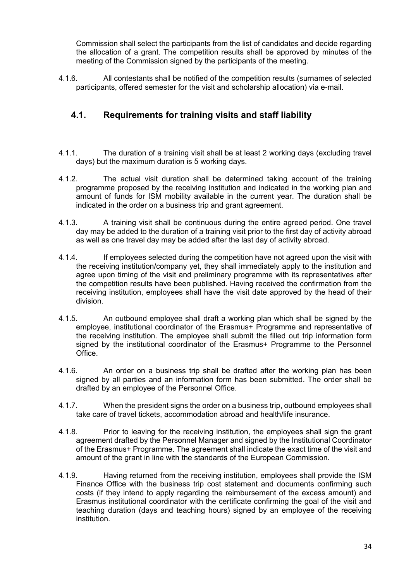Commission shall select the participants from the list of candidates and decide regarding the allocation of a grant. The competition results shall be approved by minutes of the meeting of the Commission signed by the participants of the meeting.

4.1.6. All contestants shall be notified of the competition results (surnames of selected participants, offered semester for the visit and scholarship allocation) via e-mail.

#### **4.1. Requirements for training visits and staff liability**

- 4.1.1. The duration of a training visit shall be at least 2 working days (excluding travel days) but the maximum duration is 5 working days.
- 4.1.2. The actual visit duration shall be determined taking account of the training programme proposed by the receiving institution and indicated in the working plan and amount of funds for ISM mobility available in the current year. The duration shall be indicated in the order on a business trip and grant agreement.
- 4.1.3. A training visit shall be continuous during the entire agreed period. One travel day may be added to the duration of a training visit prior to the first day of activity abroad as well as one travel day may be added after the last day of activity abroad.
- 4.1.4. If employees selected during the competition have not agreed upon the visit with the receiving institution/company yet, they shall immediately apply to the institution and agree upon timing of the visit and preliminary programme with its representatives after the competition results have been published. Having received the confirmation from the receiving institution, employees shall have the visit date approved by the head of their division.
- 4.1.5. An outbound employee shall draft a working plan which shall be signed by the employee, institutional coordinator of the Erasmus+ Programme and representative of the receiving institution. The employee shall submit the filled out trip information form signed by the institutional coordinator of the Erasmus+ Programme to the Personnel Office.
- 4.1.6. An order on a business trip shall be drafted after the working plan has been signed by all parties and an information form has been submitted. The order shall be drafted by an employee of the Personnel Office.
- 4.1.7. When the president signs the order on a business trip, outbound employees shall take care of travel tickets, accommodation abroad and health/life insurance.
- 4.1.8. Prior to leaving for the receiving institution, the employees shall sign the grant agreement drafted by the Personnel Manager and signed by the Institutional Coordinator of the Erasmus+ Programme. The agreement shall indicate the exact time of the visit and amount of the grant in line with the standards of the European Commission.
- 4.1.9. Having returned from the receiving institution, employees shall provide the ISM Finance Office with the business trip cost statement and documents confirming such costs (if they intend to apply regarding the reimbursement of the excess amount) and Erasmus institutional coordinator with the certificate confirming the goal of the visit and teaching duration (days and teaching hours) signed by an employee of the receiving institution.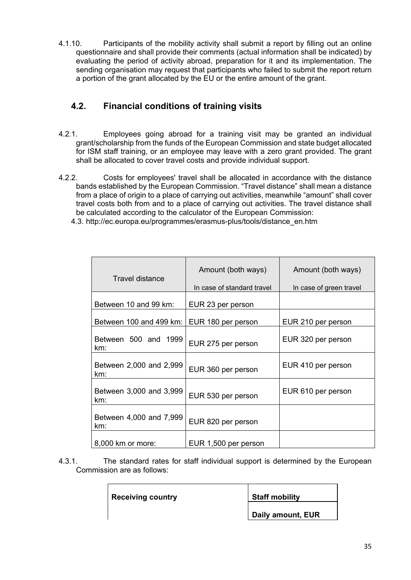4.1.10. Participants of the mobility activity shall submit a report by filling out an online questionnaire and shall provide their comments (actual information shall be indicated) by evaluating the period of activity abroad, preparation for it and its implementation. The sending organisation may request that participants who failed to submit the report return a portion of the grant allocated by the EU or the entire amount of the grant.

#### **4.2. Financial conditions of training visits**

- 4.2.1. Employees going abroad for a training visit may be granted an individual grant/scholarship from the funds of the European Commission and state budget allocated for ISM staff training, or an employee may leave with a zero grant provided. The grant shall be allocated to cover travel costs and provide individual support.
- 4.2.2. Costs for employees' travel shall be allocated in accordance with the distance bands established by the European Commission. "Travel distance" shall mean a distance from a place of origin to a place of carrying out activities, meanwhile "amount" shall cover travel costs both from and to a place of carrying out activities. The travel distance shall be calculated according to the calculator of the European Commission:
	- 4.3. [http://ec.europa.eu/programmes/erasmus-plus/tools/distance\\_en.htm](http://ec.europa.eu/programmes/erasmus-plus/tools/distance_en.htm)

| Travel distance                | Amount (both ways)<br>In case of standard travel | Amount (both ways)<br>In case of green travel |
|--------------------------------|--------------------------------------------------|-----------------------------------------------|
| Between 10 and 99 km:          | EUR 23 per person                                |                                               |
| Between 100 and 499 km:        | EUR 180 per person                               | EUR 210 per person                            |
| Between 500 and 1999<br>km:    | EUR 275 per person                               | EUR 320 per person                            |
| Between 2,000 and 2,999<br>km: | EUR 360 per person                               | EUR 410 per person                            |
| Between 3,000 and 3,999<br>km: | EUR 530 per person                               | EUR 610 per person                            |
| Between 4,000 and 7,999<br>km: | EUR 820 per person                               |                                               |
| 8,000 km or more:              | EUR 1,500 per person                             |                                               |

4.3.1. The standard rates for staff individual support is determined by the European Commission are as follows:

| <b>Receiving country</b> | <b>Staff mobility</b> |
|--------------------------|-----------------------|
|                          | Daily amount, EUR     |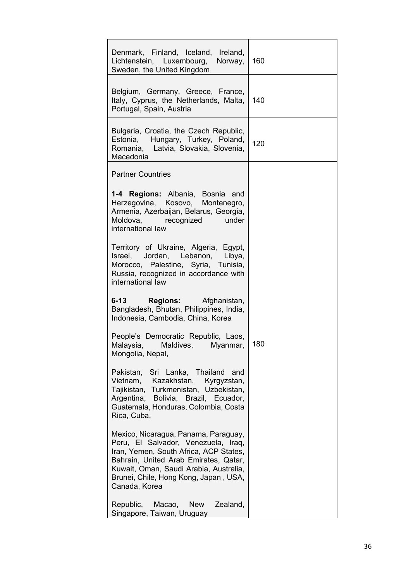| Denmark, Finland, Iceland, Ireland,<br>Lichtenstein, Luxembourg,<br>Norway,<br>Sweden, the United Kingdom                                                                                                                                                          | 160  |
|--------------------------------------------------------------------------------------------------------------------------------------------------------------------------------------------------------------------------------------------------------------------|------|
| Belgium, Germany, Greece, France,<br>Italy, Cyprus, the Netherlands, Malta,<br>Portugal, Spain, Austria                                                                                                                                                            | -140 |
| Bulgaria, Croatia, the Czech Republic,<br>Estonia, Hungary, Turkey, Poland,<br>Romania, Latvia, Slovakia, Slovenia,<br>Macedonia                                                                                                                                   | 120  |
| <b>Partner Countries</b>                                                                                                                                                                                                                                           |      |
| 1-4 Regions: Albania, Bosnia and<br>Herzegovina, Kosovo, Montenegro,<br>Armenia, Azerbaijan, Belarus, Georgia,<br>Moldova, recognized<br><b>120 under</b><br>international law                                                                                     |      |
| Territory of Ukraine, Algeria, Egypt,<br>Israel, Jordan, Lebanon, Libya,<br>Morocco, Palestine, Syria, Tunisia,<br>Russia, recognized in accordance with<br>international law                                                                                      |      |
| 6-13 <b>Regions:</b> Afghanistan,<br>Bangladesh, Bhutan, Philippines, India,<br>Indonesia, Cambodia, China, Korea                                                                                                                                                  |      |
| People's Democratic Republic, Laos,<br>Malaysia,<br>Maldives,<br>Myanmar,<br>Mongolia, Nepal,                                                                                                                                                                      | 180  |
| Pakistan, Sri Lanka, Thailand<br>and<br>Vietnam, Kazakhstan,<br>Kyrgyzstan,<br>Tajikistan, Turkmenistan, Uzbekistan,<br>Argentina, Bolivia, Brazil, Ecuador,<br>Guatemala, Honduras, Colombia, Costa<br>Rica, Cuba,                                                |      |
| Mexico, Nicaragua, Panama, Paraguay,<br>Peru, El Salvador, Venezuela, Iraq,<br>Iran, Yemen, South Africa, ACP States,<br>Bahrain, United Arab Emirates, Qatar,<br>Kuwait, Oman, Saudi Arabia, Australia,<br>Brunei, Chile, Hong Kong, Japan, USA,<br>Canada, Korea |      |
| Republic, Macao, New<br>Zealand,<br>Singapore, Taiwan, Uruguay                                                                                                                                                                                                     |      |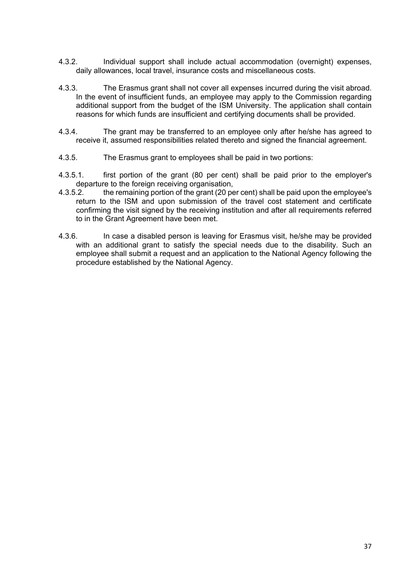- 4.3.2. Individual support shall include actual accommodation (overnight) expenses, daily allowances, local travel, insurance costs and miscellaneous costs.
- 4.3.3. The Erasmus grant shall not cover all expenses incurred during the visit abroad. In the event of insufficient funds, an employee may apply to the Commission regarding additional support from the budget of the ISM University. The application shall contain reasons for which funds are insufficient and certifying documents shall be provided.
- 4.3.4. The grant may be transferred to an employee only after he/she has agreed to receive it, assumed responsibilities related thereto and signed the financial agreement.
- 4.3.5. The Erasmus grant to employees shall be paid in two portions:
- 4.3.5.1. first portion of the grant (80 per cent) shall be paid prior to the employer's departure to the foreign receiving organisation,
- 4.3.5.2. the remaining portion of the grant (20 per cent) shall be paid upon the employee's return to the ISM and upon submission of the travel cost statement and certificate confirming the visit signed by the receiving institution and after all requirements referred to in the Grant Agreement have been met.
- 4.3.6. In case a disabled person is leaving for Erasmus visit, he/she may be provided with an additional grant to satisfy the special needs due to the disability. Such an employee shall submit a request and an application to the National Agency following the procedure established by the National Agency.